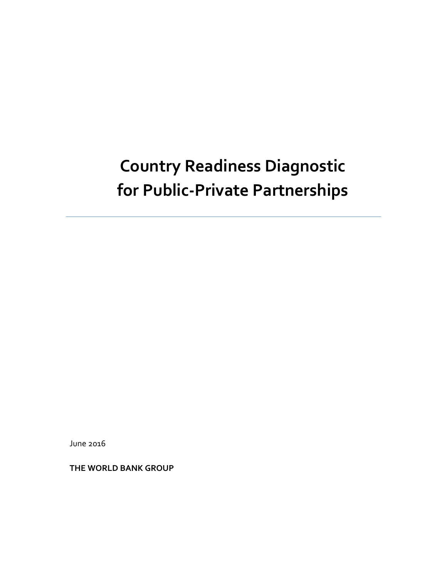# **Country Readiness Diagnostic for Public-Private Partnerships**

June 2016

**THE WORLD BANK GROUP**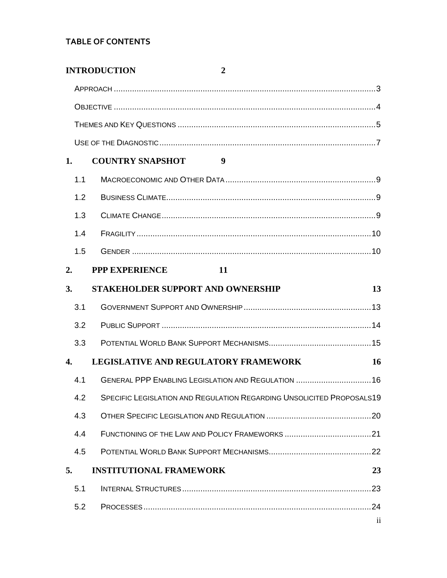# **TABLE OF CONTENTS**

|     | <b>INTRODUCTION</b><br>2                                              |                         |
|-----|-----------------------------------------------------------------------|-------------------------|
|     |                                                                       |                         |
|     |                                                                       |                         |
|     |                                                                       |                         |
|     |                                                                       |                         |
| 1.  | <b>COUNTRY SNAPSHOT</b><br>9                                          |                         |
| 1.1 |                                                                       |                         |
| 1.2 |                                                                       |                         |
| 1.3 |                                                                       |                         |
| 1.4 |                                                                       |                         |
| 1.5 |                                                                       |                         |
| 2.  | <b>PPP EXPERIENCE</b><br>-11                                          |                         |
| 3.  | STAKEHOLDER SUPPORT AND OWNERSHIP                                     | 13                      |
| 3.1 |                                                                       |                         |
| 3.2 |                                                                       |                         |
| 3.3 |                                                                       |                         |
| 4.  | <b>LEGISLATIVE AND REGULATORY FRAMEWORK</b>                           | 16                      |
| 4.1 | GENERAL PPP ENABLING LEGISLATION AND REGULATION  16                   |                         |
| 4.2 | SPECIFIC LEGISLATION AND REGULATION REGARDING UNSOLICITED PROPOSALS19 |                         |
| 4.3 |                                                                       |                         |
| 4.4 |                                                                       |                         |
| 4.5 |                                                                       |                         |
| 5.  | <b>INSTITUTIONAL FRAMEWORK</b>                                        | 23                      |
| 5.1 |                                                                       |                         |
| 5.2 |                                                                       |                         |
|     |                                                                       | $\overline{\mathbf{u}}$ |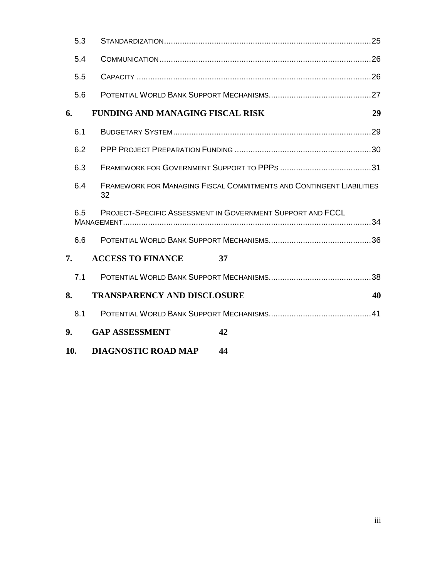| 5.3 |                                         |                                                                             |  |  |
|-----|-----------------------------------------|-----------------------------------------------------------------------------|--|--|
| 5.4 |                                         |                                                                             |  |  |
| 5.5 |                                         |                                                                             |  |  |
| 5.6 |                                         |                                                                             |  |  |
| 6.  | <b>FUNDING AND MANAGING FISCAL RISK</b> | 29                                                                          |  |  |
| 6.1 |                                         |                                                                             |  |  |
| 6.2 |                                         |                                                                             |  |  |
| 6.3 |                                         |                                                                             |  |  |
| 6.4 | 32                                      | <b>FRAMEWORK FOR MANAGING FISCAL COMMITMENTS AND CONTINGENT LIABILITIES</b> |  |  |
| 6.5 |                                         | PROJECT-SPECIFIC ASSESSMENT IN GOVERNMENT SUPPORT AND FCCL                  |  |  |
| 6.6 |                                         |                                                                             |  |  |
| 7.  | <b>ACCESS TO FINANCE</b><br>37          |                                                                             |  |  |
| 7.1 |                                         |                                                                             |  |  |
| 8.  | <b>TRANSPARENCY AND DISCLOSURE</b>      | 40                                                                          |  |  |
| 8.1 |                                         |                                                                             |  |  |
| 9.  | <b>GAP ASSESSMENT</b>                   | 42                                                                          |  |  |
| 10. | <b>DIAGNOSTIC ROAD MAP</b>              | 44                                                                          |  |  |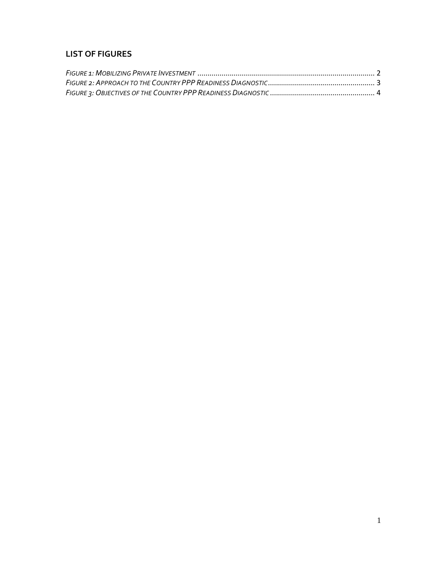# **LIST OF FIGURES**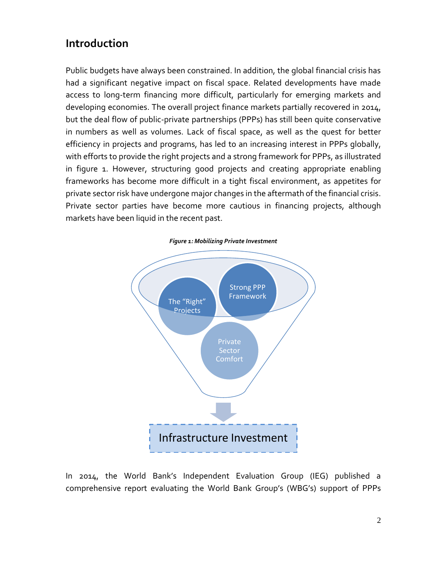# <span id="page-4-0"></span>**Introduction**

Public budgets have always been constrained. In addition, the global financial crisis has had a significant negative impact on fiscal space. Related developments have made access to long-term financing more difficult, particularly for emerging markets and developing economies. The overall project finance markets partially recovered in 2014, but the deal flow of public-private partnerships (PPPs) has still been quite conservative in numbers as well as volumes. Lack of fiscal space, as well as the quest for better efficiency in projects and programs, has led to an increasing interest in PPPs globally, with efforts to provide the right projects and a strong framework for PPPs, as illustrated in figure 1. However, structuring good projects and creating appropriate enabling frameworks has become more difficult in a tight fiscal environment, as appetites for private sector risk have undergone major changes in the aftermath of the financial crisis. Private sector parties have become more cautious in financing projects, although markets have been liquid in the recent past.

<span id="page-4-1"></span>

In 2014, the World Bank's Independent Evaluation Group (IEG) published a comprehensive report evaluating the World Bank Group's (WBG's) support of PPPs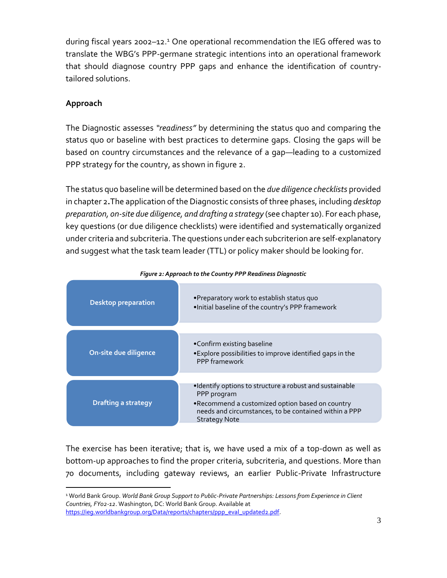during fiscal years 2002–12.<sup>1</sup> One operational recommendation the IEG offered was to translate the WBG's PPP-germane strategic intentions into an operational framework that should diagnose country PPP gaps and enhance the identification of countrytailored solutions.

### <span id="page-5-0"></span>**Approach**

 $\overline{a}$ 

The Diagnostic assesses *"readiness"* by determining the status quo and comparing the status quo or baseline with best practices to determine gaps. Closing the gaps will be based on country circumstances and the relevance of a gap—leading to a customized PPP strategy for the country, as shown in figure 2.

The status quo baseline will be determined based on the *due diligence checklists* provided in chapter 2**.**The application of the Diagnostic consists of three phases, including *desktop preparation, on-site due diligence, and drafting a strategy* (see chapter 10). For each phase, key questions (or due diligence checklists) were identified and systematically organized under criteria and subcriteria. The questions under each subcriterion are self-explanatory and suggest what the task team leader (TTL) or policy maker should be looking for.

<span id="page-5-1"></span>

| <b>Desktop preparation</b> | •Preparatory work to establish status quo<br>. Initial baseline of the country's PPP framework                                                                                                              |
|----------------------------|-------------------------------------------------------------------------------------------------------------------------------------------------------------------------------------------------------------|
|                            |                                                                                                                                                                                                             |
| On-site due diligence      | •Confirm existing baseline<br>•Explore possibilities to improve identified gaps in the<br>PPP framework                                                                                                     |
|                            |                                                                                                                                                                                                             |
| <b>Drafting a strategy</b> | •Identify options to structure a robust and sustainable<br>PPP program<br>. Recommend a customized option based on country<br>needs and circumstances, to be contained within a PPP<br><b>Strategy Note</b> |

#### *Figure 2: Approach to the Country PPP Readiness Diagnostic*

The exercise has been iterative; that is, we have used a mix of a top-down as well as bottom-up approaches to find the proper criteria, subcriteria, and questions. More than 70 documents, including gateway reviews, an earlier Public-Private Infrastructure

<sup>1</sup> World Bank Group. *World Bank Group Support to Public-Private Partnerships: Lessons from Experience in Client Countries, FY02-12*. Washington, DC: World Bank Group. Available at [https://ieg.worldbankgroup.org/Data/reports/chapters/ppp\\_eval\\_updated2.pdf.](https://ieg.worldbankgroup.org/Data/reports/chapters/ppp_eval_updated2.pdf)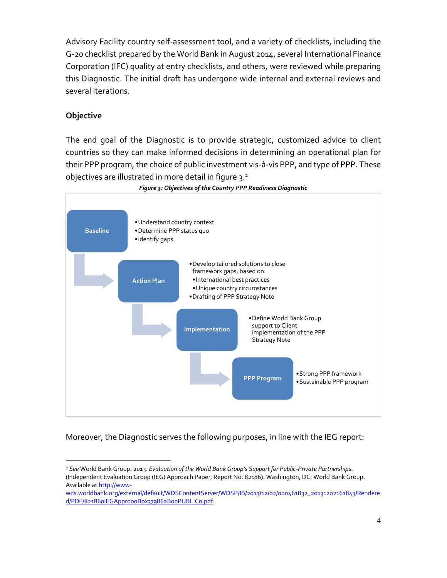Advisory Facility country self-assessment tool, and a variety of checklists, including the G-20 checklist prepared by the World Bank in August 2014, several International Finance Corporation (IFC) quality at entry checklists, and others, were reviewed while preparing this Diagnostic. The initial draft has undergone wide internal and external reviews and several iterations.

#### <span id="page-6-0"></span>**Objective**

 $\overline{a}$ 

The end goal of the Diagnostic is to provide strategic, customized advice to client countries so they can make informed decisions in determining an operational plan for their PPP program, the choice of public investment vis-à-vis PPP, and type of PPP. These objectives are illustrated in more detail in figure 3.<sup>2</sup>

<span id="page-6-1"></span>

*Figure 3: Objectives of the Country PPP Readiness Diagnostic*

Moreover, the Diagnostic serves the following purposes, in line with the IEG report:

<sup>2</sup> *See* World Bank Group. 2013. *Evaluation of the World Bank Group's Support for Public-Private Partnerships*. (Independent Evaluation Group (IEG) Approach Paper, Report No. 82186). Washington, DC: World Bank Group. Available a[t http://www-](http://www-wds.worldbank.org/external/default/WDSContentServer/WDSP/IB/2013/12/02/000461832_20131202161843/Rendered/PDF/821860IEGAppro00Box379862B00PUBLIC0.pdf)

[wds.worldbank.org/external/default/WDSContentServer/WDSP/IB/2013/12/02/000461832\\_20131202161843/Rendere](http://www-wds.worldbank.org/external/default/WDSContentServer/WDSP/IB/2013/12/02/000461832_20131202161843/Rendered/PDF/821860IEGAppro00Box379862B00PUBLIC0.pdf) [d/PDF/821860IEGAppro00Box379862B00PUBLIC0.pdf.](http://www-wds.worldbank.org/external/default/WDSContentServer/WDSP/IB/2013/12/02/000461832_20131202161843/Rendered/PDF/821860IEGAppro00Box379862B00PUBLIC0.pdf)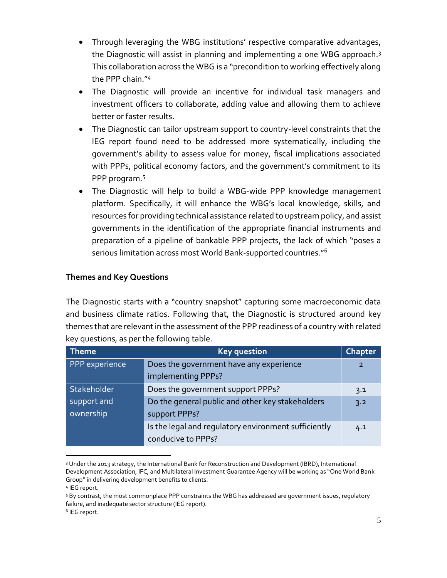- Through leveraging the WBG institutions' respective comparative advantages, the Diagnostic will assist in planning and implementing a one WBG approach.<sup>3</sup> This collaboration across the WBG is a "precondition to working effectively along the PPP chain."<sup>4</sup>
- The Diagnostic will provide an incentive for individual task managers and investment officers to collaborate, adding value and allowing them to achieve better or faster results.
- The Diagnostic can tailor upstream support to country-level constraints that the IEG report found need to be addressed more systematically, including the government's ability to assess value for money, fiscal implications associated with PPPs, political economy factors, and the government's commitment to its PPP program. 5
- The Diagnostic will help to build a WBG-wide PPP knowledge management platform. Specifically, it will enhance the WBG's local knowledge, skills, and resources for providing technical assistance related to upstream policy, and assist governments in the identification of the appropriate financial instruments and preparation of a pipeline of bankable PPP projects, the lack of which "poses a serious limitation across most World Bank-supported countries."<sup>6</sup>

### <span id="page-7-0"></span>**Themes and Key Questions**

The Diagnostic starts with a "country snapshot" capturing some macroeconomic data and business climate ratios. Following that, the Diagnostic is structured around key themes that are relevant in the assessment of the PPP readiness of a country with related key questions, as per the following table.

| <b>Theme</b>   | <b>Key question</b>                                  |                |
|----------------|------------------------------------------------------|----------------|
| PPP experience | Does the government have any experience              | $\overline{2}$ |
|                | implementing PPPs?                                   |                |
| Stakeholder    | Does the government support PPPs?                    | 3.1            |
| support and    | Do the general public and other key stakeholders     | 3.2            |
| ownership      | support PPPs?                                        |                |
|                | Is the legal and regulatory environment sufficiently | 4.1            |
|                | conducive to PPPs?                                   |                |

 $\overline{a}$ <sup>3</sup> Under the 2013 strategy, the International Bank for Reconstruction and Development (IBRD), International Development Association, IFC, and Multilateral Investment Guarantee Agency will be working as "One World Bank Group" in delivering development benefits to clients.

<sup>4</sup> IEG report.

<sup>5</sup> By contrast, the most commonplace PPP constraints the WBG has addressed are government issues, regulatory failure, and inadequate sector structure (IEG report).

<sup>6</sup> IEG report.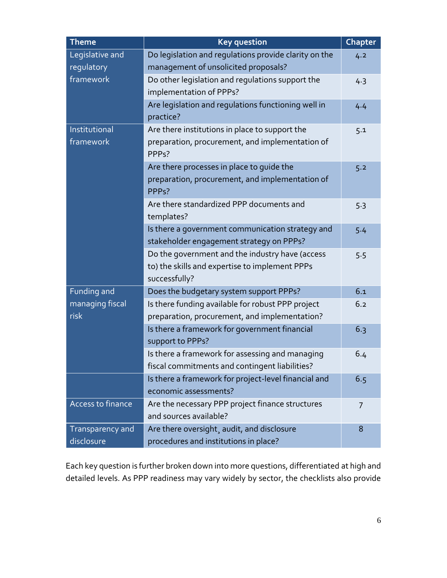| <b>Theme</b>                                                                                                                   | <b>Key question</b>                                                                                                     |     |
|--------------------------------------------------------------------------------------------------------------------------------|-------------------------------------------------------------------------------------------------------------------------|-----|
| Legislative and<br>Do legislation and regulations provide clarity on the<br>regulatory<br>management of unsolicited proposals? |                                                                                                                         | 4.2 |
| framework                                                                                                                      | Do other legislation and regulations support the<br>implementation of PPPs?                                             | 4.3 |
|                                                                                                                                | Are legislation and regulations functioning well in<br>practice?                                                        | 4.4 |
| Institutional<br>framework                                                                                                     | Are there institutions in place to support the<br>preparation, procurement, and implementation of<br>PPP <sub>s</sub> ? | 5.1 |
|                                                                                                                                | Are there processes in place to guide the<br>preparation, procurement, and implementation of<br>PPP <sub>s</sub> ?      | 5.2 |
|                                                                                                                                | Are there standardized PPP documents and<br>templates?                                                                  | 5.3 |
|                                                                                                                                | Is there a government communication strategy and<br>stakeholder engagement strategy on PPPs?                            | 5.4 |
|                                                                                                                                | Do the government and the industry have (access<br>to) the skills and expertise to implement PPPs<br>successfully?      | 5.5 |
| Funding and                                                                                                                    | Does the budgetary system support PPPs?                                                                                 | 6.1 |
| managing fiscal<br>risk                                                                                                        | Is there funding available for robust PPP project<br>preparation, procurement, and implementation?                      | 6.2 |
|                                                                                                                                | Is there a framework for government financial<br>support to PPPs?                                                       | 6.3 |
|                                                                                                                                | Is there a framework for assessing and managing<br>fiscal commitments and contingent liabilities?                       | 6.4 |
|                                                                                                                                | Is there a framework for project-level financial and<br>economic assessments?                                           | 6.5 |
| Access to finance                                                                                                              | Are the necessary PPP project finance structures<br>and sources available?                                              | 7   |
| Transparency and<br>disclosure                                                                                                 | Are there oversight, audit, and disclosure<br>procedures and institutions in place?                                     | 8   |

Each key question is further broken down into more questions, differentiated at high and detailed levels. As PPP readiness may vary widely by sector, the checklists also provide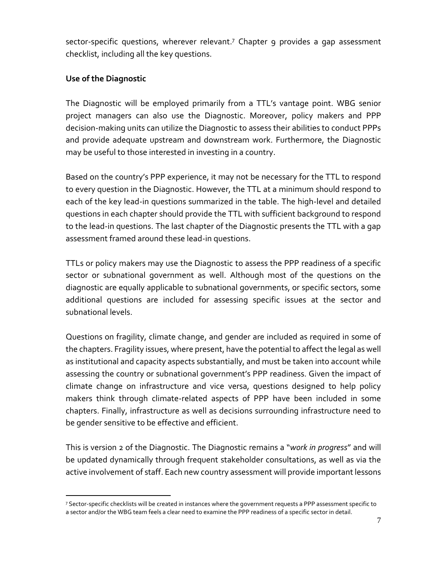sector-specific questions, wherever relevant. <sup>7</sup> Chapter 9 provides a gap assessment checklist, including all the key questions.

#### <span id="page-9-0"></span>**Use of the Diagnostic**

The Diagnostic will be employed primarily from a TTL's vantage point. WBG senior project managers can also use the Diagnostic. Moreover, policy makers and PPP decision-making units can utilize the Diagnostic to assess their abilities to conduct PPPs and provide adequate upstream and downstream work. Furthermore, the Diagnostic may be useful to those interested in investing in a country.

Based on the country's PPP experience, it may not be necessary for the TTL to respond to every question in the Diagnostic. However, the TTL at a minimum should respond to each of the key lead-in questions summarized in the table. The high-level and detailed questions in each chapter should provide the TTL with sufficient background to respond to the lead-in questions. The last chapter of the Diagnostic presents the TTL with a gap assessment framed around these lead-in questions.

TTLs or policy makers may use the Diagnostic to assess the PPP readiness of a specific sector or subnational government as well. Although most of the questions on the diagnostic are equally applicable to subnational governments, or specific sectors, some additional questions are included for assessing specific issues at the sector and subnational levels.

Questions on fragility, climate change, and gender are included as required in some of the chapters. Fragility issues, where present, have the potential to affect the legal as well as institutional and capacity aspects substantially, and must be taken into account while assessing the country or subnational government's PPP readiness. Given the impact of climate change on infrastructure and vice versa, questions designed to help policy makers think through climate-related aspects of PPP have been included in some chapters. Finally, infrastructure as well as decisions surrounding infrastructure need to be gender sensitive to be effective and efficient.

This is version 2 of the Diagnostic. The Diagnostic remains a "*work in progress*" and will be updated dynamically through frequent stakeholder consultations, as well as via the active involvement of staff. Each new country assessment will provide important lessons

 $\overline{a}$ <sup>7</sup> Sector-specific checklists will be created in instances where the government requests a PPP assessment specific to a sector and/or the WBG team feels a clear need to examine the PPP readiness of a specific sector in detail.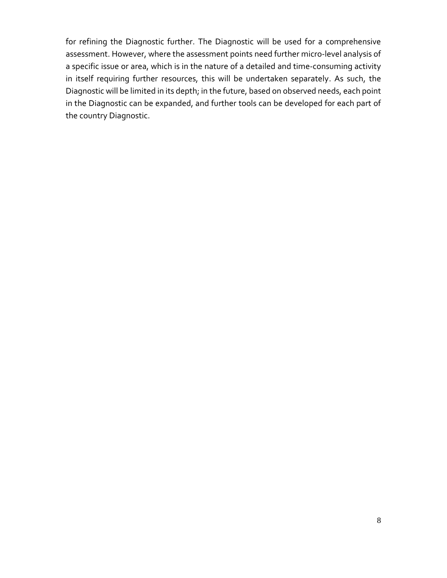for refining the Diagnostic further. The Diagnostic will be used for a comprehensive assessment. However, where the assessment points need further micro-level analysis of a specific issue or area, which is in the nature of a detailed and time-consuming activity in itself requiring further resources, this will be undertaken separately. As such, the Diagnostic will be limited in its depth; in the future, based on observed needs, each point in the Diagnostic can be expanded, and further tools can be developed for each part of the country Diagnostic.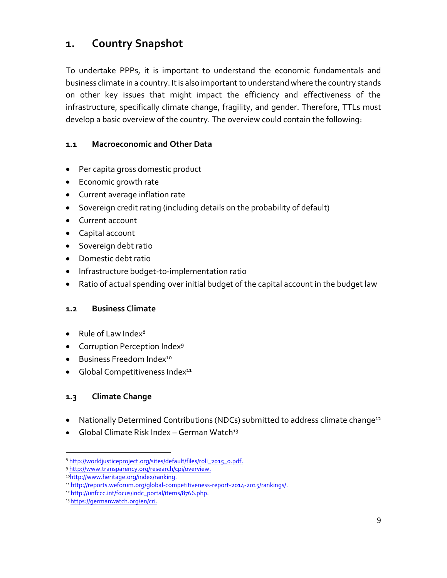# <span id="page-11-0"></span>**1. Country Snapshot**

To undertake PPPs, it is important to understand the economic fundamentals and business climate in a country. It is also important to understand where the country stands on other key issues that might impact the efficiency and effectiveness of the infrastructure, specifically climate change, fragility, and gender. Therefore, TTLs must develop a basic overview of the country. The overview could contain the following:

#### <span id="page-11-1"></span>**1.1 Macroeconomic and Other Data**

- Per capita gross domestic product
- Economic growth rate
- Current average inflation rate
- Sovereign credit rating (including details on the probability of default)
- Current account
- Capital account
- **•** Sovereign debt ratio
- Domestic debt ratio
- Infrastructure budget-to-implementation ratio
- Ratio of actual spending over initial budget of the capital account in the budget law

#### <span id="page-11-2"></span>**1.2 Business Climate**

- $\bullet$  Rule of Law Index<sup>8</sup>
- Corruption Perception Index<sup>9</sup>
- **•** Business Freedom Index<sup>10</sup>
- $\bullet$  Global Competitiveness Index<sup>11</sup>

### <span id="page-11-3"></span>**1.3 Climate Change**

 $\overline{a}$ 

- Nationally Determined Contributions (NDCs) submitted to address climate change<sup>12</sup>
- Global Climate Risk Index German Watch<sup>13</sup>

<sup>8</sup> [http://worldjusticeproject.org/sites/default/files/roli\\_2015\\_0.pdf.](http://worldjusticeproject.org/sites/default/files/roli_2015_0.pdf)

<sup>9</sup> [http://www.transparency.org/research/cpi/overview.](http://www.transparency.org/research/cpi/overview)

<sup>10</sup>[http://www.heritage.org/index/ranking.](http://www.heritage.org/index/ranking)

<sup>11</sup> [http://reports.weforum.org/global-competitiveness-report-2014-2015/rankings/.](http://reports.weforum.org/global-competitiveness-report-2014-2015/rankings/)

<sup>12</sup> http://unfccc.int/focus/indc\_portal/items/8766.php.

<sup>13</sup> https://germanwatch.org/en/cri.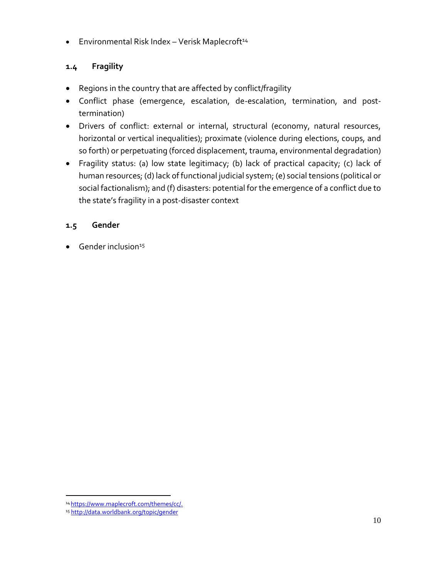**Environmental Risk Index - Verisk Maplecroft**<sup>14</sup>

# <span id="page-12-0"></span>**1.4 Fragility**

- Regions in the country that are affected by conflict/fragility
- Conflict phase (emergence, escalation, de-escalation, termination, and posttermination)
- Drivers of conflict: external or internal, structural (economy, natural resources, horizontal or vertical inequalities); proximate (violence during elections, coups, and so forth) or perpetuating (forced displacement, trauma, environmental degradation)
- Fragility status: (a) low state legitimacy; (b) lack of practical capacity; (c) lack of human resources; (d) lack of functional judicial system; (e) social tensions (political or social factionalism); and (f) disasters: potential for the emergence of a conflict due to the state's fragility in a post-disaster context

### <span id="page-12-1"></span>**1.5 Gender**

 $\bullet$  Gender inclusion<sup>15</sup>

 $\overline{a}$ <sup>14</sup> https://www.maplecroft.com/themes/cc/.

<sup>15</sup> <http://data.worldbank.org/topic/gender>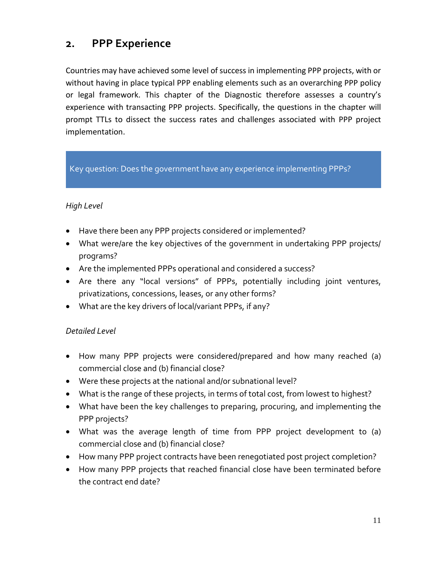# <span id="page-13-0"></span>**2. PPP Experience**

Countries may have achieved some level of success in implementing PPP projects, with or without having in place typical PPP enabling elements such as an overarching PPP policy or legal framework. This chapter of the Diagnostic therefore assesses a country's experience with transacting PPP projects. Specifically, the questions in the chapter will prompt TTLs to dissect the success rates and challenges associated with PPP project implementation.

### Key question: Does the government have any experience implementing PPPs?

#### *High Level*

- Have there been any PPP projects considered or implemented?
- What were/are the key objectives of the government in undertaking PPP projects/ programs?
- Are the implemented PPPs operational and considered a success?
- Are there any "local versions" of PPPs, potentially including joint ventures, privatizations, concessions, leases, or any other forms?
- What are the key drivers of local/variant PPPs, if any?

- How many PPP projects were considered/prepared and how many reached (a) commercial close and (b) financial close?
- Were these projects at the national and/or subnational level?
- What is the range of these projects, in terms of total cost, from lowest to highest?
- What have been the key challenges to preparing, procuring, and implementing the PPP projects?
- What was the average length of time from PPP project development to (a) commercial close and (b) financial close?
- How many PPP project contracts have been renegotiated post project completion?
- How many PPP projects that reached financial close have been terminated before the contract end date?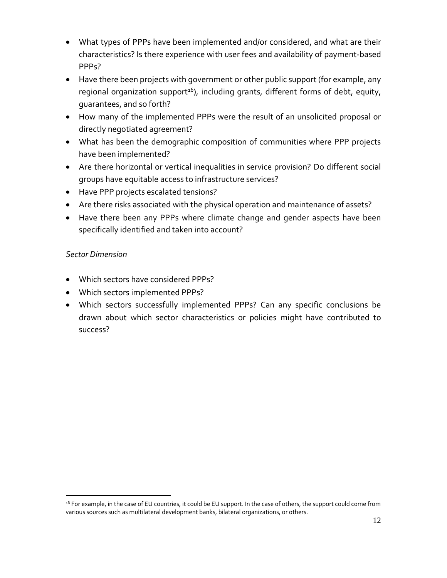- What types of PPPs have been implemented and/or considered, and what are their characteristics? Is there experience with user fees and availability of payment-based PPPs?
- Have there been projects with government or other public support (for example, any regional organization support<sup>16</sup>), including grants, different forms of debt, equity, guarantees, and so forth?
- How many of the implemented PPPs were the result of an unsolicited proposal or directly negotiated agreement?
- What has been the demographic composition of communities where PPP projects have been implemented?
- Are there horizontal or vertical inequalities in service provision? Do different social groups have equitable access to infrastructure services?
- Have PPP projects escalated tensions?
- Are there risks associated with the physical operation and maintenance of assets?
- Have there been any PPPs where climate change and gender aspects have been specifically identified and taken into account?

 $\overline{a}$ 

- Which sectors have considered PPPs?
- Which sectors implemented PPPs?
- Which sectors successfully implemented PPPs? Can any specific conclusions be drawn about which sector characteristics or policies might have contributed to success?

<sup>&</sup>lt;sup>16</sup> For example, in the case of EU countries, it could be EU support. In the case of others, the support could come from various sources such as multilateral development banks, bilateral organizations, or others.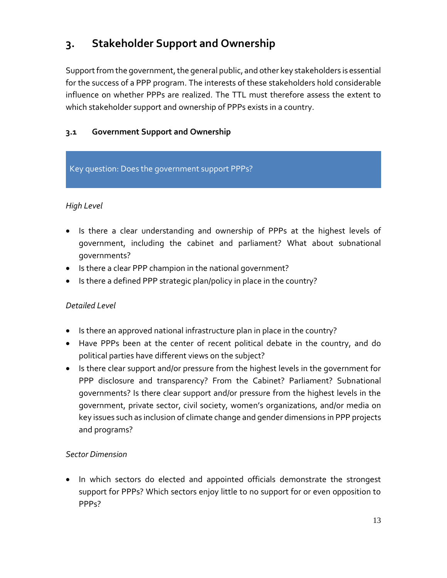# <span id="page-15-0"></span>**3. Stakeholder Support and Ownership**

Support from the government, the general public, and other key stakeholders is essential for the success of a PPP program. The interests of these stakeholders hold considerable influence on whether PPPs are realized. The TTL must therefore assess the extent to which stakeholder support and ownership of PPPs exists in a country.

# <span id="page-15-1"></span>**3.1 Government Support and Ownership**

#### Key question: Does the government support PPPs?

### *High Level*

- Is there a clear understanding and ownership of PPPs at the highest levels of government, including the cabinet and parliament? What about subnational governments?
- Is there a clear PPP champion in the national government?
- Is there a defined PPP strategic plan/policy in place in the country?

#### *Detailed Level*

- Is there an approved national infrastructure plan in place in the country?
- Have PPPs been at the center of recent political debate in the country, and do political parties have different views on the subject?
- Is there clear support and/or pressure from the highest levels in the government for PPP disclosure and transparency? From the Cabinet? Parliament? Subnational governments? Is there clear support and/or pressure from the highest levels in the government, private sector, civil society, women's organizations, and/or media on key issues such as inclusion of climate change and gender dimensions in PPP projects and programs?

#### *Sector Dimension*

• In which sectors do elected and appointed officials demonstrate the strongest support for PPPs? Which sectors enjoy little to no support for or even opposition to PPPs?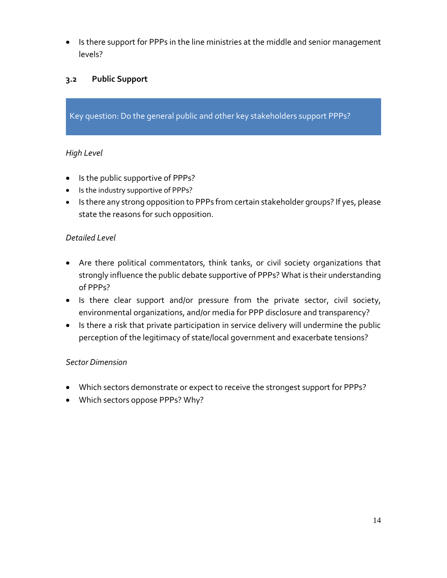• Is there support for PPPs in the line ministries at the middle and senior management levels?

### <span id="page-16-0"></span>**3.2 Public Support**

Key question: Do the general public and other key stakeholders support PPPs?

#### *High Level*

- Is the public supportive of PPPs?
- Is the industry supportive of PPPs?
- Is there any strong opposition to PPPs from certain stakeholder groups? If yes, please state the reasons for such opposition.

#### *Detailed Level*

- Are there political commentators, think tanks, or civil society organizations that strongly influence the public debate supportive of PPPs? What is their understanding of PPPs?
- Is there clear support and/or pressure from the private sector, civil society, environmental organizations, and/or media for PPP disclosure and transparency?
- Is there a risk that private participation in service delivery will undermine the public perception of the legitimacy of state/local government and exacerbate tensions?

#### *Sector Dimension*

- Which sectors demonstrate or expect to receive the strongest support for PPPs?
- Which sectors oppose PPPs? Why?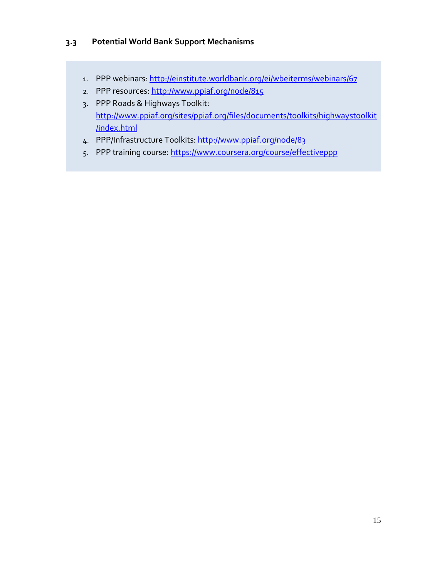#### <span id="page-17-0"></span>**3.3 Potential World Bank Support Mechanisms**

- 1. PPP webinars[: http://einstitute.worldbank.org/ei/wbeiterms/webinars/67](http://einstitute.worldbank.org/ei/wbeiterms/webinars/67)
- 2. PPP resources[: http://www.ppiaf.org/node/815](http://www.ppiaf.org/node/815)
- 3. PPP Roads & Highways Toolkit: [http://www.ppiaf.org/sites/ppiaf.org/files/documents/toolkits/highwaystoolkit](http://www.ppiaf.org/sites/ppiaf.org/files/documents/toolkits/highwaystoolkit/index.html) [/index.html](http://www.ppiaf.org/sites/ppiaf.org/files/documents/toolkits/highwaystoolkit/index.html)
- 4. PPP/Infrastructure Toolkits:<http://www.ppiaf.org/node/83>
- 5. PPP training course: https://www.coursera.org/course/effectiveppp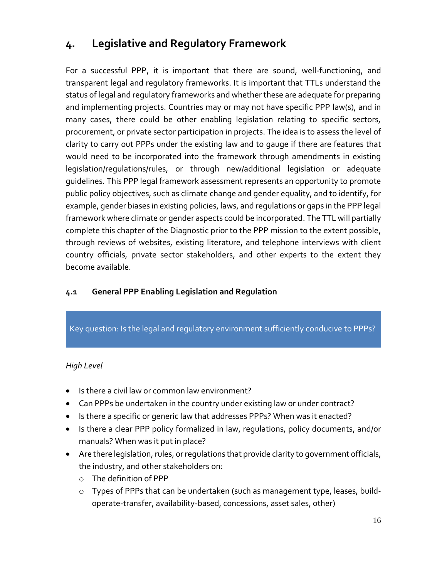# <span id="page-18-0"></span>**4. Legislative and Regulatory Framework**

For a successful PPP, it is important that there are sound, well-functioning, and transparent legal and regulatory frameworks. It is important that TTLs understand the status of legal and regulatory frameworks and whether these are adequate for preparing and implementing projects. Countries may or may not have specific PPP law(s), and in many cases, there could be other enabling legislation relating to specific sectors, procurement, or private sector participation in projects. The idea is to assess the level of clarity to carry out PPPs under the existing law and to gauge if there are features that would need to be incorporated into the framework through amendments in existing legislation/regulations/rules, or through new/additional legislation or adequate guidelines. This [PPP legal framework assessment](http://ppp.worldbank.org/public-private-partnership/node/9) represents an opportunity to promote public policy objectives, such as climate change and gender equality, and to identify, for example, gender biases in existing policies, laws, and regulations or gaps in the PPP legal framework where climate or gender aspects could be incorporated. The TTL will partially complete this chapter of the Diagnostic prior to the PPP mission to the extent possible, through reviews of websites, existing literature, and telephone interviews with client country officials, private sector stakeholders, and other experts to the extent they become available.

### <span id="page-18-1"></span>**4.1 General PPP Enabling Legislation and Regulation**

#### Key question: Is the legal and regulatory environment sufficiently conducive to PPPs?

- Is there a civil law or common law environment?
- Can PPPs be undertaken in the country under existing law or under contract?
- Is there a specific or generic law that addresses PPPs? When was it enacted?
- Is there a clear PPP policy formalized in law, regulations, policy documents, and/or manuals? When was it put in place?
- Are there legislation, rules, or regulations that provide clarity to government officials, the industry, and other stakeholders on:
	- o The definition of PPP
	- o Types of PPPs that can be undertaken (such as management type, leases, buildoperate-transfer, availability-based, concessions, asset sales, other)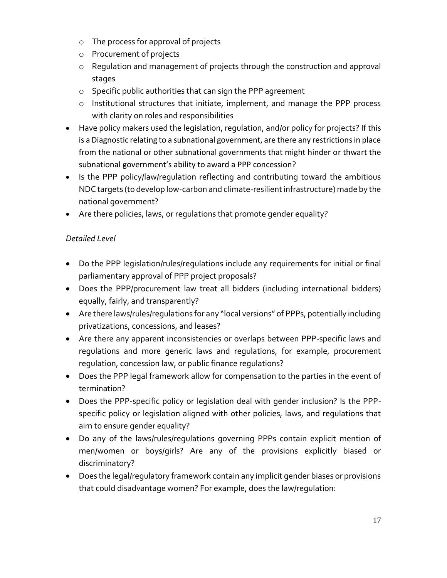- o The process for approval of projects
- o Procurement of projects
- o Regulation and management of projects through the construction and approval stages
- o Specific public authorities that can sign the PPP agreement
- o Institutional structures that initiate, implement, and manage the PPP process with clarity on roles and responsibilities
- Have policy makers used the legislation, regulation, and/or policy for projects? If this is a Diagnostic relating to a subnational government, are there any restrictions in place from the national or other subnational governments that might hinder or thwart the subnational government's ability to award a PPP concession?
- Is the PPP policy/law/regulation reflecting and contributing toward the ambitious NDC targets (to develop low-carbon and climate-resilient infrastructure) made by the national government?
- Are there policies, laws, or regulations that promote gender equality?

- Do the PPP legislation/rules/regulations include any requirements for initial or final parliamentary approval of PPP project proposals?
- Does the PPP/procurement law treat all bidders (including international bidders) equally, fairly, and transparently?
- Are there laws/rules/regulations for any "local versions" of PPPs, potentially including privatizations, concessions, and leases?
- Are there any apparent inconsistencies or overlaps between PPP-specific laws and regulations and more generic laws and regulations, for example, procurement regulation, concession law, or public finance regulations?
- Does the PPP legal framework allow for compensation to the parties in the event of termination?
- Does the PPP-specific policy or legislation deal with gender inclusion? Is the PPPspecific policy or legislation aligned with other policies, laws, and regulations that aim to ensure gender equality?
- Do any of the laws/rules/regulations governing PPPs contain explicit mention of men/women or boys/girls? Are any of the provisions explicitly biased or discriminatory?
- Does the legal/regulatory framework contain any implicit gender biases or provisions that could disadvantage women? For example, does the law/regulation: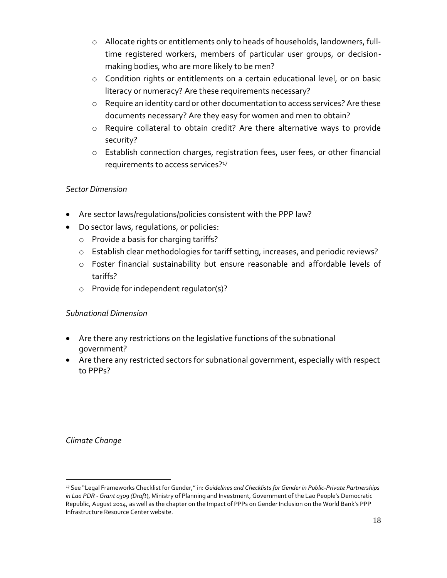- o Allocate rights or entitlements only to heads of households, landowners, fulltime registered workers, members of particular user groups, or decisionmaking bodies, who are more likely to be men?
- o Condition rights or entitlements on a certain educational level, or on basic literacy or numeracy? Are these requirements necessary?
- o Require an identity card or other documentation to access services? Are these documents necessary? Are they easy for women and men to obtain?
- o Require collateral to obtain credit? Are there alternative ways to provide security?
- o Establish connection charges, registration fees, user fees, or other financial requirements to access services?<sup>17</sup>

- Are sector laws/regulations/policies consistent with the PPP law?
- Do sector laws, regulations, or policies:
	- o Provide a basis for charging tariffs?
	- o Establish clear methodologies for tariff setting, increases, and periodic reviews?
	- o Foster financial sustainability but ensure reasonable and affordable levels of tariffs?
	- o Provide for independent regulator(s)?

### *Subnational Dimension*

- Are there any restrictions on the legislative functions of the subnational government?
- Are there any restricted sectors for subnational government, especially with respect to PPPs?

*Climate Change*

 $\overline{a}$ <sup>17</sup> See "Legal Frameworks Checklist for Gender," in: *[Guidelines and Checklists for Gender in Public-Private Partnerships](http://ppp.worldbank.org/public-private-partnership/library/guidelines-and-checklists-gender-public-private-partnerships-lao-pdr-grant-0309-draft)  in Lao PDR - [Grant 0309 \(Draft](http://ppp.worldbank.org/public-private-partnership/library/guidelines-and-checklists-gender-public-private-partnerships-lao-pdr-grant-0309-draft)*), Ministry of Planning and Investment, Government of the Lao People's Democratic Republic, August 2014, as well as the chapter on th[e Impact of PPPs on Gender Inclusion](http://ppp.worldbank.org/public-private-partnership/ppp-sector/gender-impacts-ppps/gender-responsive-ppp-legal-contractual-framework/gender-responsive-p) on the World Bank's PPP Infrastructure Resource Center website.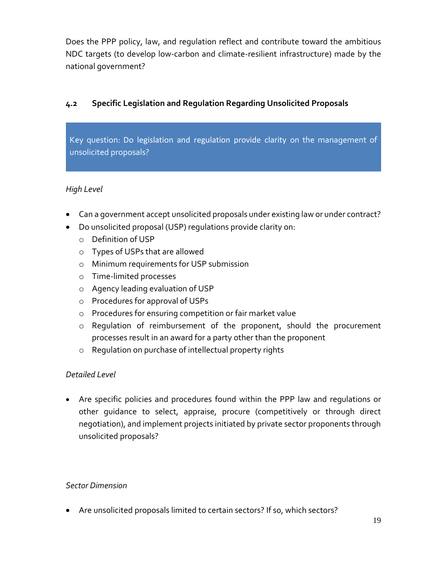Does the PPP policy, law, and regulation reflect and contribute toward the ambitious NDC targets (to develop low-carbon and climate-resilient infrastructure) made by the national government?

# <span id="page-21-0"></span>**4.2 Specific Legislation and Regulation Regarding Unsolicited Proposals**

Key question: Do legislation and regulation provide clarity on the management of unsolicited proposals?

### *High Level*

- Can a government accept unsolicited proposals under existing law or under contract?
- Do unsolicited proposal (USP) regulations provide clarity on:
	- o Definition of USP
	- o Types of USPs that are allowed
	- o Minimum requirements for USP submission
	- o Time-limited processes
	- o Agency leading evaluation of USP
	- o Procedures for approval of USPs
	- o Procedures for ensuring competition or fair market value
	- o Regulation of reimbursement of the proponent, should the procurement processes result in an award for a party other than the proponent
	- o Regulation on purchase of intellectual property rights

### *Detailed Level*

 Are specific policies and procedures found within the PPP law and regulations or other guidance to select, appraise, procure (competitively or through direct negotiation), and implement projects initiated by private sector proponents through unsolicited proposals?

### *Sector Dimension*

Are unsolicited proposals limited to certain sectors? If so, which sectors?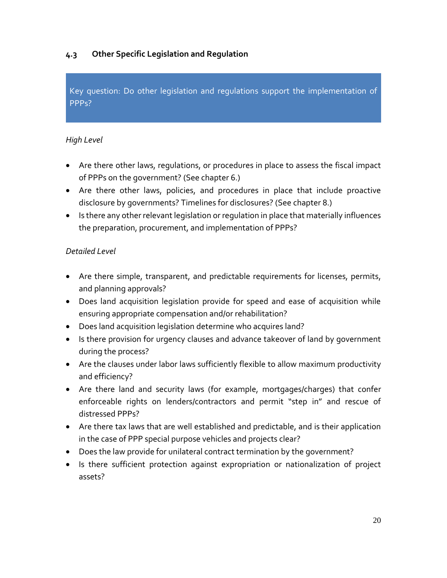# <span id="page-22-0"></span>**4.3 Other Specific Legislation and Regulation**

Key question: Do other legislation and regulations support the implementation of PPPs?

#### *High Level*

- Are there other laws, regulations, or procedures in place to assess the fiscal impact of PPPs on the government? (See chapter 6.)
- Are there other laws, policies, and procedures in place that include proactive disclosure by governments? Timelines for disclosures? (See chapter 8.)
- Is there any other relevant legislation or regulation in place that materially influences the preparation, procurement, and implementation of PPPs?

- Are there simple, transparent, and predictable requirements for licenses, permits, and planning approvals?
- Does land acquisition legislation provide for speed and ease of acquisition while ensuring appropriate compensation and/or rehabilitation?
- Does land acquisition legislation determine who acquires land?
- Is there provision for urgency clauses and advance takeover of land by government during the process?
- Are the clauses under labor laws sufficiently flexible to allow maximum productivity and efficiency?
- Are there land and security laws (for example, mortgages/charges) that confer enforceable rights on lenders/contractors and permit "step in" and rescue of distressed PPPs?
- Are there tax laws that are well established and predictable, and is their application in the case of PPP special purpose vehicles and projects clear?
- Does the law provide for unilateral contract termination by the government?
- Is there sufficient protection against expropriation or nationalization of project assets?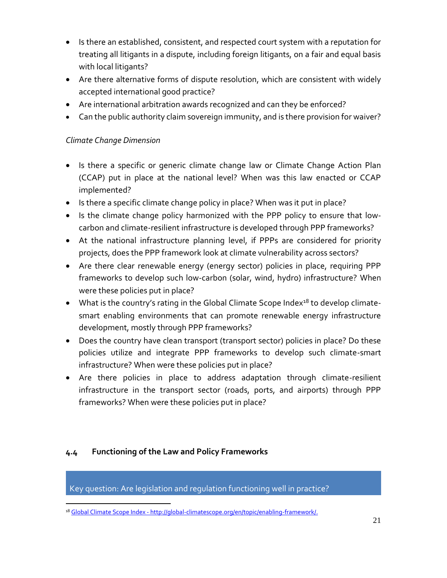- Is there an established, consistent, and respected court system with a reputation for treating all litigants in a dispute, including foreign litigants, on a fair and equal basis with local litigants?
- Are there alternative forms of dispute resolution, which are consistent with widely accepted international good practice?
- Are international arbitration awards recognized and can they be enforced?
- Can the public authority claim sovereign immunity, and is there provision for waiver?

### *Climate Change Dimension*

- Is there a specific or generic climate change law or Climate Change Action Plan (CCAP) put in place at the national level? When was this law enacted or CCAP implemented?
- Is there a specific climate change policy in place? When was it put in place?
- Is the climate change policy harmonized with the PPP policy to ensure that lowcarbon and climate-resilient infrastructure is developed through PPP frameworks?
- At the national infrastructure planning level, if PPPs are considered for priority projects, does the PPP framework look at climate vulnerability across sectors?
- Are there clear renewable energy (energy sector) policies in place, requiring PPP frameworks to develop such low-carbon (solar, wind, hydro) infrastructure? When were these policies put in place?
- $\bullet$  What is the country's rating in the Global Climate Scope Index<sup>18</sup> to develop climatesmart enabling environments that can promote renewable energy infrastructure development, mostly through PPP frameworks?
- Does the country have clean transport (transport sector) policies in place? Do these policies utilize and integrate PPP frameworks to develop such climate-smart infrastructure? When were these policies put in place?
- Are there policies in place to address adaptation through climate-resilient infrastructure in the transport sector (roads, ports, and airports) through PPP frameworks? When were these policies put in place?

### <span id="page-23-0"></span>**4.4 Functioning of the Law and Policy Frameworks**

Key question: Are legislation and regulation functioning well in practice?

 $\overline{a}$ <sup>18</sup> Global Climate Scope Index - http://global-climatescope.org/en/topic/enabling-framework/.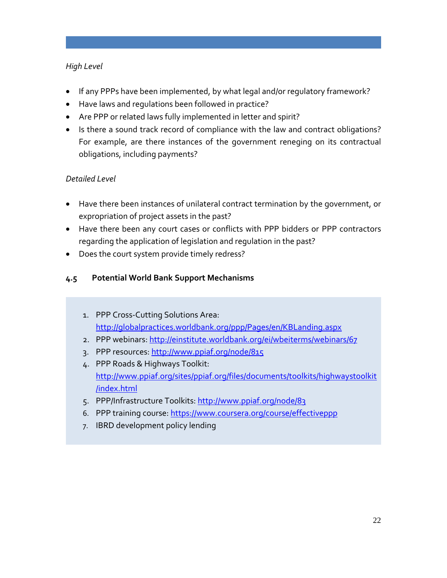### *High Level*

- If any PPPs have been implemented, by what legal and/or regulatory framework?
- Have laws and regulations been followed in practice?
- Are PPP or related laws fully implemented in letter and spirit?
- Is there a sound track record of compliance with the law and contract obligations? For example, are there instances of the government reneging on its contractual obligations, including payments?

# *Detailed Level*

- Have there been instances of unilateral contract termination by the government, or expropriation of project assets in the past?
- Have there been any court cases or conflicts with PPP bidders or PPP contractors regarding the application of legislation and regulation in the past?
- Does the court system provide timely redress?

### <span id="page-24-0"></span>**4.5 Potential World Bank Support Mechanisms**

- 1. PPP Cross-Cutting Solutions Area: <http://globalpractices.worldbank.org/ppp/Pages/en/KBLanding.aspx>
- 2. PPP webinars[: http://einstitute.worldbank.org/ei/wbeiterms/webinars/67](http://einstitute.worldbank.org/ei/wbeiterms/webinars/67)
- 3. PPP resources[: http://www.ppiaf.org/node/815](http://www.ppiaf.org/node/815)
- 4. PPP Roads & Highways Toolkit: [http://www.ppiaf.org/sites/ppiaf.org/files/documents/toolkits/highwaystoolkit](http://www.ppiaf.org/sites/ppiaf.org/files/documents/toolkits/highwaystoolkit/index.html) [/index.html](http://www.ppiaf.org/sites/ppiaf.org/files/documents/toolkits/highwaystoolkit/index.html)
- 5. PPP/Infrastructure Toolkits:<http://www.ppiaf.org/node/83>
- 6. PPP training course[: https://www.coursera.org/course/effectiveppp](https://www.coursera.org/course/effectiveppp)
- 7. IBRD development policy lending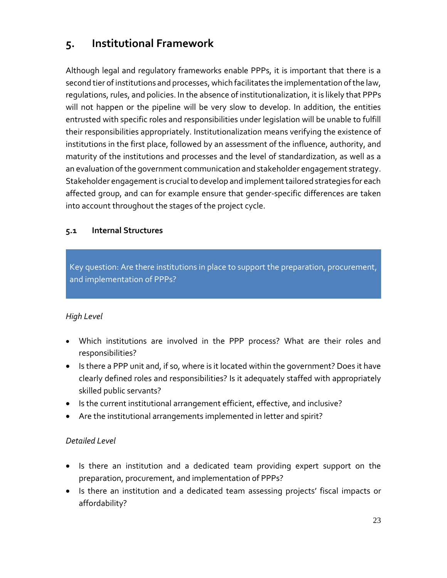# <span id="page-25-0"></span>**5. Institutional Framework**

Although legal and regulatory frameworks enable PPPs, it is important that there is a second tier of institutions and processes, which facilitates the implementation of the law, regulations, rules, and policies. In the absence of institutionalization, it is likely that PPPs will not happen or the pipeline will be very slow to develop. In addition, the entities entrusted with specific roles and responsibilities under legislation will be unable to fulfill their responsibilities appropriately. Institutionalization means verifying the existence of institutions in the first place, followed by an assessment of the influence, authority, and maturity of the institutions and processes and the level of standardization, as well as a an evaluation of the government communication and stakeholder engagement strategy. Stakeholder engagement is crucial to develop and implement tailored strategies for each affected group, and can for example ensure that gender-specific differences are taken into account throughout the stages of the project cycle.

#### <span id="page-25-1"></span>**5.1 Internal Structures**

Key question: Are there institutions in place to support the preparation, procurement, and implementation of PPPs?

### *High Level*

- Which institutions are involved in the PPP process? What are their roles and responsibilities?
- Is there a PPP unit and, if so, where is it located within the government? Does it have clearly defined roles and responsibilities? Is it adequately staffed with appropriately skilled public servants?
- Is the current institutional arrangement efficient, effective, and inclusive?
- Are the institutional arrangements implemented in letter and spirit?

- Is there an institution and a dedicated team providing expert support on the preparation, procurement, and implementation of PPPs?
- Is there an institution and a dedicated team assessing projects' fiscal impacts or affordability?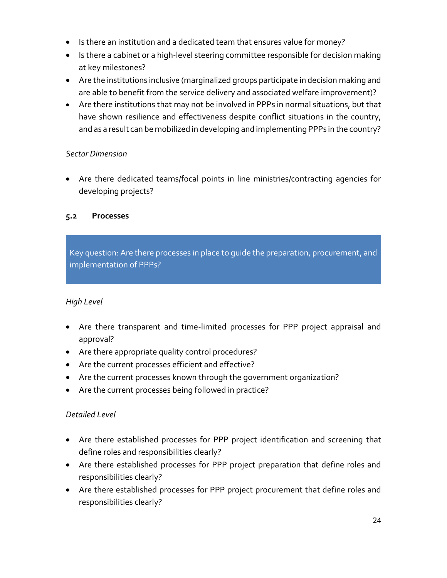- Is there an institution and a dedicated team that ensures value for money?
- Is there a cabinet or a high-level steering committee responsible for decision making at key milestones?
- Are the institutions inclusive (marginalized groups participate in decision making and are able to benefit from the service delivery and associated welfare improvement)?
- Are there institutions that may not be involved in PPPs in normal situations, but that have shown resilience and effectiveness despite conflict situations in the country, and as a result can be mobilized in developing and implementing PPPs in the country?

 Are there dedicated teams/focal points in line ministries/contracting agencies for developing projects?

### <span id="page-26-0"></span>**5.2 Processes**

Key question: Are there processes in place to guide the preparation, procurement, and implementation of PPPs?

### *High Level*

- Are there transparent and time-limited processes for PPP project appraisal and approval?
- Are there appropriate quality control procedures?
- Are the current processes efficient and effective?
- Are the current processes known through the government organization?
- Are the current processes being followed in practice?

- Are there established processes for PPP project identification and screening that define roles and responsibilities clearly?
- Are there established processes for PPP project preparation that define roles and responsibilities clearly?
- Are there established processes for PPP project procurement that define roles and responsibilities clearly?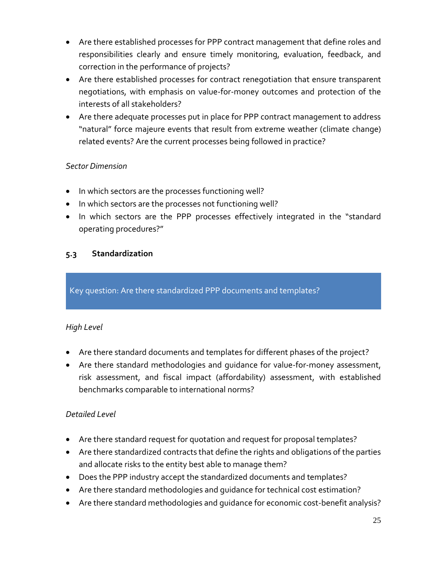- Are there established processes for PPP contract management that define roles and responsibilities clearly and ensure timely monitoring, evaluation, feedback, and correction in the performance of projects?
- Are there established processes for contract renegotiation that ensure transparent negotiations, with emphasis on value-for-money outcomes and protection of the interests of all stakeholders?
- Are there adequate processes put in place for PPP contract management to address "natural" force majeure events that result from extreme weather (climate change) related events? Are the current processes being followed in practice?

- In which sectors are the processes functioning well?
- In which sectors are the processes not functioning well?
- In which sectors are the PPP processes effectively integrated in the "standard operating procedures?"

#### <span id="page-27-0"></span>**5.3 Standardization**

Key question: Are there standardized PPP documents and templates?

### *High Level*

- Are there standard documents and templates for different phases of the project?
- Are there standard methodologies and guidance for value-for-money assessment, risk assessment, and fiscal impact (affordability) assessment, with established benchmarks comparable to international norms?

- Are there standard request for quotation and request for proposal templates?
- Are there standardized contracts that define the rights and obligations of the parties and allocate risks to the entity best able to manage them?
- Does the PPP industry accept the standardized documents and templates?
- Are there standard methodologies and guidance for technical cost estimation?
- Are there standard methodologies and guidance for economic cost-benefit analysis?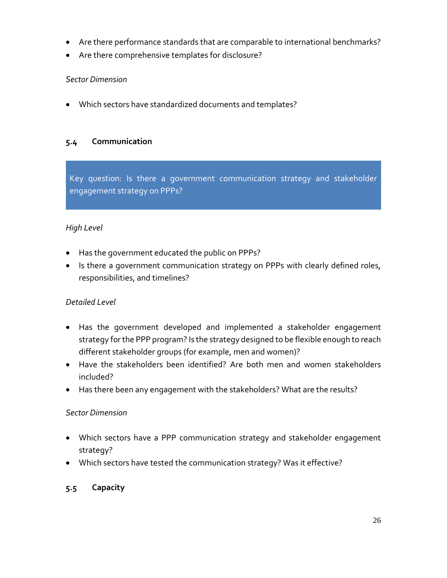- Are there performance standards that are comparable to international benchmarks?
- Are there comprehensive templates for disclosure?

Which sectors have standardized documents and templates?

#### <span id="page-28-0"></span>**5.4 Communication**

Key question: Is there a government communication strategy and stakeholder engagement strategy on PPPs?

#### *High Level*

- Has the government educated the public on PPPs?
- Is there a government communication strategy on PPPs with clearly defined roles, responsibilities, and timelines?

#### *Detailed Level*

- Has the government developed and implemented a stakeholder engagement strategy for the PPP program? Is the strategy designed to be flexible enough to reach different stakeholder groups (for example, men and women)?
- Have the stakeholders been identified? Are both men and women stakeholders included?
- Has there been any engagement with the stakeholders? What are the results?

#### *Sector Dimension*

- Which sectors have a PPP communication strategy and stakeholder engagement strategy?
- Which sectors have tested the communication strategy? Was it effective?

#### <span id="page-28-1"></span>**5.5 Capacity**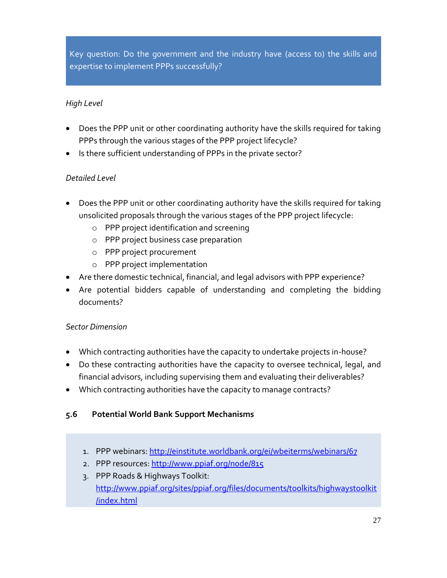Key question: Do the government and the industry have (access to) the skills and expertise to implement PPPs successfully?

#### *High Level*

- Does the PPP unit or other coordinating authority have the skills required for taking PPPs through the various stages of the PPP project lifecycle?
- Is there sufficient understanding of PPPs in the private sector?

#### *Detailed Level*

- Does the PPP unit or other coordinating authority have the skills required for taking unsolicited proposals through the various stages of the PPP project lifecycle:
	- o PPP project identification and screening
	- o PPP project business case preparation
	- o PPP project procurement
	- o PPP project implementation
- Are there domestic technical, financial, and legal advisors with PPP experience?
- Are potential bidders capable of understanding and completing the bidding documents?

#### *Sector Dimension*

- Which contracting authorities have the capacity to undertake projects in-house?
- Do these contracting authorities have the capacity to oversee technical, legal, and financial advisors, including supervising them and evaluating their deliverables?
- Which contracting authorities have the capacity to manage contracts?

#### <span id="page-29-0"></span>**5.6 Potential World Bank Support Mechanisms**

- 1. PPP webinars[: http://einstitute.worldbank.org/ei/wbeiterms/webinars/67](http://einstitute.worldbank.org/ei/wbeiterms/webinars/67)
- 2. PPP resources[: http://www.ppiaf.org/node/815](http://www.ppiaf.org/node/815)
- 3. PPP Roads & Highways Toolkit: [http://www.ppiaf.org/sites/ppiaf.org/files/documents/toolkits/highwaystoolkit](http://www.ppiaf.org/sites/ppiaf.org/files/documents/toolkits/highwaystoolkit/index.html) [/index.html](http://www.ppiaf.org/sites/ppiaf.org/files/documents/toolkits/highwaystoolkit/index.html)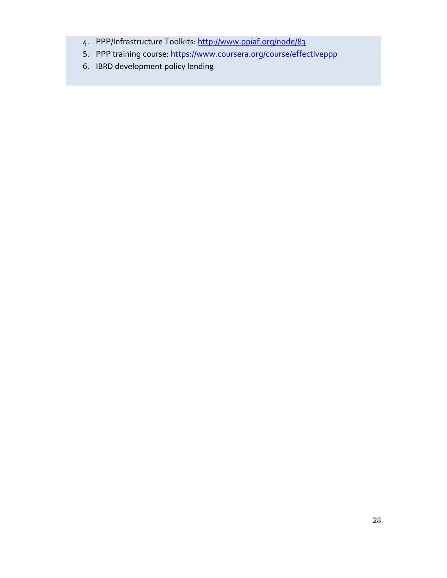- 4. PPP/Infrastructure Toolkits:<http://www.ppiaf.org/node/83>
- 5. PPP training course[: https://www.coursera.org/course/effectiveppp](https://www.coursera.org/course/effectiveppp)
- 6. IBRD development policy lending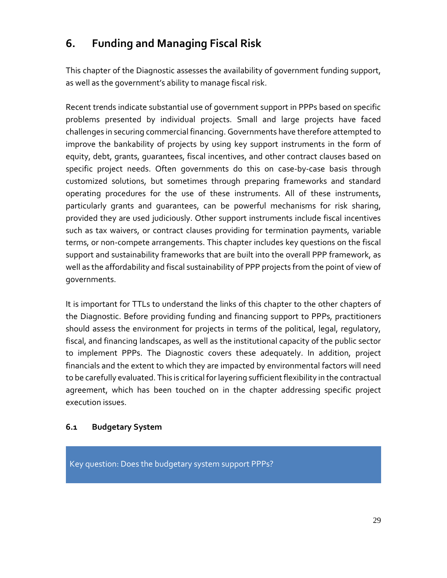# <span id="page-31-0"></span>**6. Funding and Managing Fiscal Risk**

This chapter of the Diagnostic assesses the availability of government funding support, as well as the government's ability to manage fiscal risk.

Recent trends indicate substantial use of government support in PPPs based on specific problems presented by individual projects. Small and large projects have faced challenges in securing commercial financing. Governments have therefore attempted to improve the bankability of projects by using key support instruments in the form of equity, debt, grants, guarantees, fiscal incentives, and other contract clauses based on specific project needs. Often governments do this on case-by-case basis through customized solutions, but sometimes through preparing frameworks and standard operating procedures for the use of these instruments. All of these instruments, particularly grants and guarantees, can be powerful mechanisms for risk sharing, provided they are used judiciously. Other support instruments include fiscal incentives such as tax waivers, or contract clauses providing for termination payments, variable terms, or non-compete arrangements. This chapter includes key questions on the fiscal support and sustainability frameworks that are built into the overall PPP framework, as well as the affordability and fiscal sustainability of PPP projects from the point of view of governments.

It is important for TTLs to understand the links of this chapter to the other chapters of the Diagnostic. Before providing funding and financing support to PPPs, practitioners should assess the environment for projects in terms of the political, legal, regulatory, fiscal, and financing landscapes, as well as the institutional capacity of the public sector to implement PPPs. The Diagnostic covers these adequately. In addition, project financials and the extent to which they are impacted by environmental factors will need to be carefully evaluated. This is critical forlayering sufficient flexibility in the contractual agreement, which has been touched on in the chapter addressing specific project execution issues.

### <span id="page-31-1"></span>**6.1 Budgetary System**

Key question: Does the budgetary system support PPPs?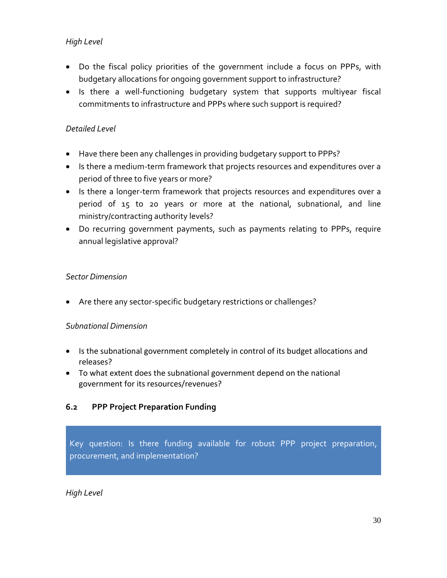### *High Level*

- Do the fiscal policy priorities of the government include a focus on PPPs, with budgetary allocations for ongoing government support to infrastructure?
- Is there a well-functioning budgetary system that supports multiyear fiscal commitments to infrastructure and PPPs where such support is required?

### *Detailed Level*

- Have there been any challenges in providing budgetary support to PPPs?
- Is there a medium-term framework that projects resources and expenditures over a period of three to five years or more?
- Is there a longer-term framework that projects resources and expenditures over a period of 15 to 20 years or more at the national, subnational, and line ministry/contracting authority levels?
- Do recurring government payments, such as payments relating to PPPs, require annual legislative approval?

### *Sector Dimension*

Are there any sector-specific budgetary restrictions or challenges?

### *Subnational Dimension*

- Is the subnational government completely in control of its budget allocations and releases?
- To what extent does the subnational government depend on the national government for its resources/revenues?

# <span id="page-32-0"></span>**6.2 PPP Project Preparation Funding**

Key question: Is there funding available for robust PPP project preparation, procurement, and implementation?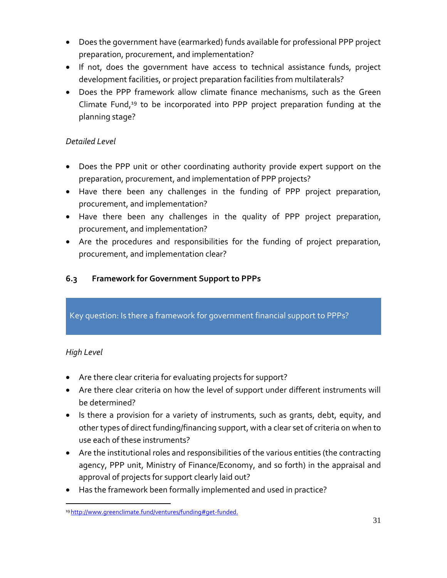- Does the government have (earmarked) funds available for professional PPP project preparation, procurement, and implementation?
- If not, does the government have access to technical assistance funds, project development facilities, or project preparation facilities from multilaterals?
- Does the PPP framework allow climate finance mechanisms, such as the Green Climate Fund,<sup>19</sup> to be incorporated into PPP project preparation funding at the planning stage?

- Does the PPP unit or other coordinating authority provide expert support on the preparation, procurement, and implementation of PPP projects?
- Have there been any challenges in the funding of PPP project preparation, procurement, and implementation?
- Have there been any challenges in the quality of PPP project preparation, procurement, and implementation?
- Are the procedures and responsibilities for the funding of project preparation, procurement, and implementation clear?

# <span id="page-33-0"></span>**6.3 Framework for Government Support to PPPs**

Key question: Is there a framework for government financial support to PPPs?

- Are there clear criteria for evaluating projects for support?
- Are there clear criteria on how the level of support under different instruments will be determined?
- Is there a provision for a variety of instruments, such as grants, debt, equity, and other types of direct funding/financing support, with a clear set of criteria on when to use each of these instruments?
- Are the institutional roles and responsibilities of the various entities (the contracting agency, PPP unit, Ministry of Finance/Economy, and so forth) in the appraisal and approval of projects for support clearly laid out?
- Has the framework been formally implemented and used in practice?

 $\overline{a}$ 19 http://www.greenclimate.fund/ventures/funding#get-funded.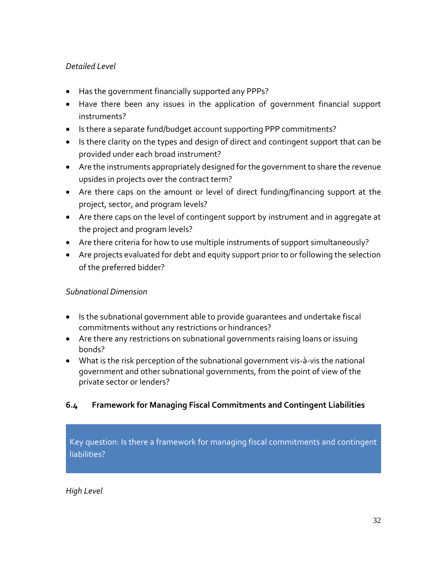- Has the government financially supported any PPPs?
- Have there been any issues in the application of government financial support instruments?
- Is there a separate fund/budget account supporting PPP commitments?
- Is there clarity on the types and design of direct and contingent support that can be provided under each broad instrument?
- Are the instruments appropriately designed for the government to share the revenue upsides in projects over the contract term?
- Are there caps on the amount or level of direct funding/financing support at the project, sector, and program levels?
- Are there caps on the level of contingent support by instrument and in aggregate at the project and program levels?
- Are there criteria for how to use multiple instruments of support simultaneously?
- Are projects evaluated for debt and equity support prior to or following the selection of the preferred bidder?

### *Subnational Dimension*

- Is the subnational government able to provide guarantees and undertake fiscal commitments without any restrictions or hindrances?
- Are there any restrictions on subnational governments raising loans or issuing bonds?
- What is the risk perception of the subnational government vis-à-vis the national government and other subnational governments, from the point of view of the private sector or lenders?

# <span id="page-34-0"></span>**6.4 Framework for Managing Fiscal Commitments and Contingent Liabilities**

Key question: Is there a framework for managing fiscal commitments and contingent liabilities?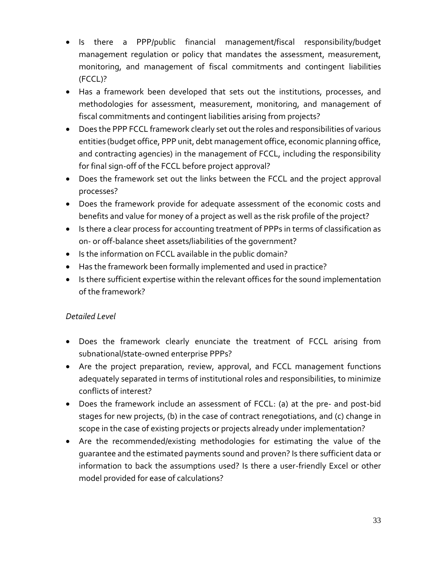- Is there a PPP/public financial management/fiscal responsibility/budget management regulation or policy that mandates the assessment, measurement, monitoring, and management of fiscal commitments and contingent liabilities (FCCL)?
- Has a framework been developed that sets out the institutions, processes, and methodologies for assessment, measurement, monitoring, and management of fiscal commitments and contingent liabilities arising from projects?
- Does the PPP FCCL framework clearly set out the roles and responsibilities of various entities (budget office, PPP unit, debt management office, economic planning office, and contracting agencies) in the management of FCCL, including the responsibility for final sign-off of the FCCL before project approval?
- Does the framework set out the links between the FCCL and the project approval processes?
- Does the framework provide for adequate assessment of the economic costs and benefits and value for money of a project as well as the risk profile of the project?
- Is there a clear process for accounting treatment of PPPs in terms of classification as on- or off-balance sheet assets/liabilities of the government?
- Is the information on FCCL available in the public domain?
- Has the framework been formally implemented and used in practice?
- Is there sufficient expertise within the relevant offices for the sound implementation of the framework?

- Does the framework clearly enunciate the treatment of FCCL arising from subnational/state-owned enterprise PPPs?
- Are the project preparation, review, approval, and FCCL management functions adequately separated in terms of institutional roles and responsibilities, to minimize conflicts of interest?
- Does the framework include an assessment of FCCL: (a) at the pre- and post-bid stages for new projects, (b) in the case of contract renegotiations, and (c) change in scope in the case of existing projects or projects already under implementation?
- Are the recommended/existing methodologies for estimating the value of the guarantee and the estimated payments sound and proven? Is there sufficient data or information to back the assumptions used? Is there a user-friendly Excel or other model provided for ease of calculations?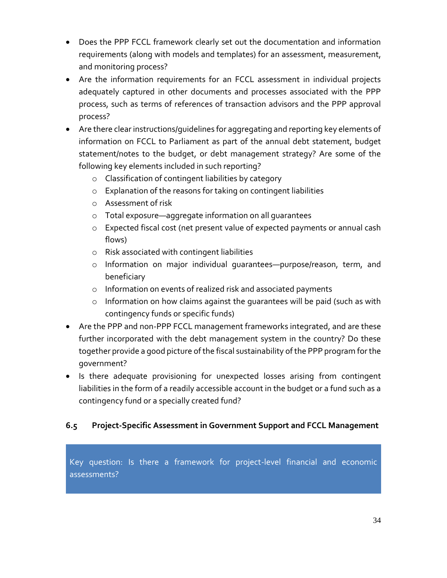- Does the PPP FCCL framework clearly set out the documentation and information requirements (along with models and templates) for an assessment, measurement, and monitoring process?
- Are the information requirements for an FCCL assessment in individual projects adequately captured in other documents and processes associated with the PPP process, such as terms of references of transaction advisors and the PPP approval process?
- Are there clear instructions/guidelines for aggregating and reporting key elements of information on FCCL to Parliament as part of the annual debt statement, budget statement/notes to the budget, or debt management strategy? Are some of the following key elements included in such reporting?
	- o Classification of contingent liabilities by category
	- o Explanation of the reasons for taking on contingent liabilities
	- o Assessment of risk
	- o Total exposure—aggregate information on all guarantees
	- o Expected fiscal cost (net present value of expected payments or annual cash flows)
	- o Risk associated with contingent liabilities
	- o Information on major individual guarantees—purpose/reason, term, and beneficiary
	- o Information on events of realized risk and associated payments
	- o Information on how claims against the guarantees will be paid (such as with contingency funds or specific funds)
- Are the PPP and non-PPP FCCL management frameworks integrated, and are these further incorporated with the debt management system in the country? Do these together provide a good picture of the fiscal sustainability of the PPP program for the government?
- Is there adequate provisioning for unexpected losses arising from contingent liabilities in the form of a readily accessible account in the budget or a fund such as a contingency fund or a specially created fund?

# <span id="page-36-0"></span>**6.5 Project-Specific Assessment in Government Support and FCCL Management**

Key question: Is there a framework for project-level financial and economic assessments?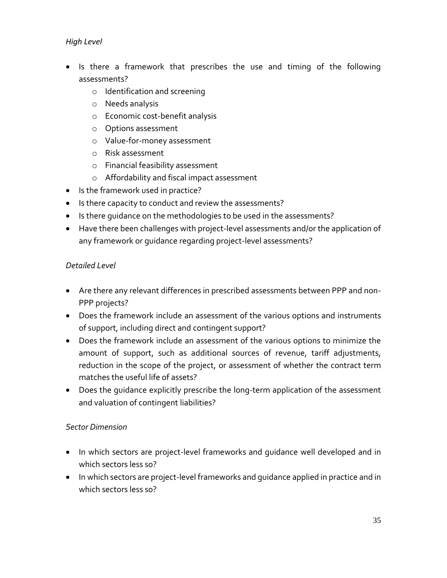#### *High Level*

- Is there a framework that prescribes the use and timing of the following assessments?
	- o Identification and screening
	- o Needs analysis
	- o Economic cost-benefit analysis
	- o Options assessment
	- o Value-for-money assessment
	- o Risk assessment
	- o Financial feasibility assessment
	- o Affordability and fiscal impact assessment
- Is the framework used in practice?
- Is there capacity to conduct and review the assessments?
- Is there quidance on the methodologies to be used in the assessments?
- Have there been challenges with project-level assessments and/or the application of any framework or guidance regarding project-level assessments?

#### *Detailed Level*

- Are there any relevant differences in prescribed assessments between PPP and non-PPP projects?
- Does the framework include an assessment of the various options and instruments of support, including direct and contingent support?
- Does the framework include an assessment of the various options to minimize the amount of support, such as additional sources of revenue, tariff adjustments, reduction in the scope of the project, or assessment of whether the contract term matches the useful life of assets?
- Does the guidance explicitly prescribe the long-term application of the assessment and valuation of contingent liabilities?

#### *Sector Dimension*

- In which sectors are project-level frameworks and quidance well developed and in which sectors less so?
- In which sectors are project-level frameworks and quidance applied in practice and in which sectors less so?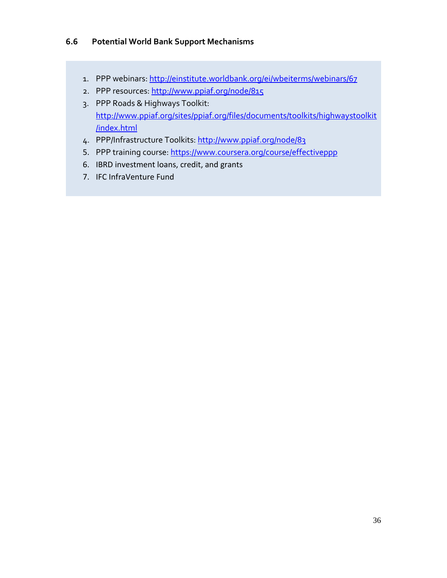#### <span id="page-38-0"></span>**6.6 Potential World Bank Support Mechanisms**

- 1. PPP webinars[: http://einstitute.worldbank.org/ei/wbeiterms/webinars/67](http://einstitute.worldbank.org/ei/wbeiterms/webinars/67)
- 2. PPP resources[: http://www.ppiaf.org/node/815](http://www.ppiaf.org/node/815)
- 3. PPP Roads & Highways Toolkit: [http://www.ppiaf.org/sites/ppiaf.org/files/documents/toolkits/highwaystoolkit](http://www.ppiaf.org/sites/ppiaf.org/files/documents/toolkits/highwaystoolkit/index.html) [/index.html](http://www.ppiaf.org/sites/ppiaf.org/files/documents/toolkits/highwaystoolkit/index.html)
- 4. PPP/Infrastructure Toolkits:<http://www.ppiaf.org/node/83>
- 5. PPP training course[: https://www.coursera.org/course/effectiveppp](https://www.coursera.org/course/effectiveppp)
- 6. IBRD investment loans, credit, and grants
- 7. IFC InfraVenture Fund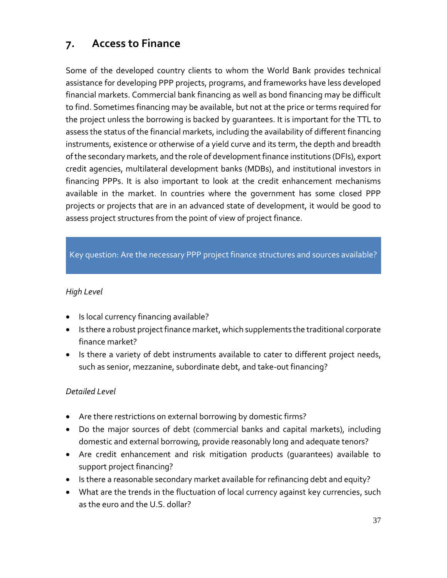# <span id="page-39-0"></span>**7. Access to Finance**

Some of the developed country clients to whom the World Bank provides technical assistance for developing PPP projects, programs, and frameworks have less developed financial markets. Commercial bank financing as well as bond financing may be difficult to find. Sometimes financing may be available, but not at the price or terms required for the project unless the borrowing is backed by guarantees. It is important for the TTL to assess the status of the financial markets, including the availability of different financing instruments, existence or otherwise of a yield curve and its term, the depth and breadth of the secondary markets, and the role of development finance institutions (DFIs), export credit agencies, multilateral development banks (MDBs), and institutional investors in financing PPPs. It is also important to look at the credit enhancement mechanisms available in the market. In countries where the government has some closed PPP projects or projects that are in an advanced state of development, it would be good to assess project structures from the point of view of project finance.

### Key question: Are the necessary PPP project finance structures and sources available?

#### *High Level*

- Is local currency financing available?
- Is there a robust project finance market, which supplements the traditional corporate finance market?
- Is there a variety of debt instruments available to cater to different project needs, such as senior, mezzanine, subordinate debt, and take-out financing?

- Are there restrictions on external borrowing by domestic firms?
- Do the major sources of debt (commercial banks and capital markets), including domestic and external borrowing, provide reasonably long and adequate tenors?
- Are credit enhancement and risk mitigation products (guarantees) available to support project financing?
- Is there a reasonable secondary market available for refinancing debt and equity?
- What are the trends in the fluctuation of local currency against key currencies, such as the euro and the U.S. dollar?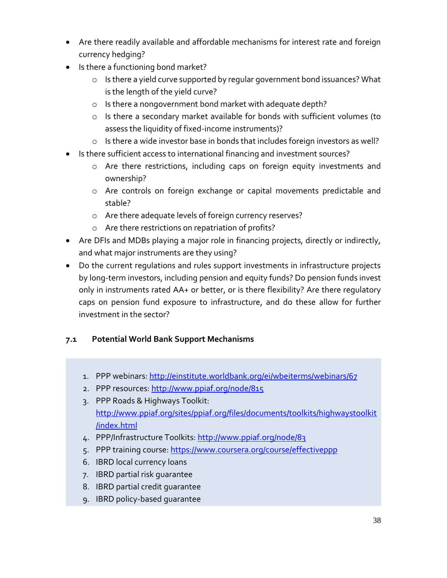- Are there readily available and affordable mechanisms for interest rate and foreign currency hedging?
- Is there a functioning bond market?
	- o Is there a yield curve supported by regular government bond issuances? What is the length of the yield curve?
	- o Is there a nongovernment bond market with adequate depth?
	- o Is there a secondary market available for bonds with sufficient volumes (to assess the liquidity of fixed-income instruments)?
	- o Is there a wide investor base in bonds that includes foreign investors as well?
- Is there sufficient access to international financing and investment sources?
	- o Are there restrictions, including caps on foreign equity investments and ownership?
	- o Are controls on foreign exchange or capital movements predictable and stable?
	- o Are there adequate levels of foreign currency reserves?
	- o Are there restrictions on repatriation of profits?
- Are DFIs and MDBs playing a major role in financing projects, directly or indirectly, and what major instruments are they using?
- Do the current regulations and rules support investments in infrastructure projects by long-term investors, including pension and equity funds? Do pension funds invest only in instruments rated AA+ or better, or is there flexibility? Are there regulatory caps on pension fund exposure to infrastructure, and do these allow for further investment in the sector?

# <span id="page-40-0"></span>**7.1 Potential World Bank Support Mechanisms**

- 1. PPP webinars[: http://einstitute.worldbank.org/ei/wbeiterms/webinars/67](http://einstitute.worldbank.org/ei/wbeiterms/webinars/67)
- 2. PPP resources[: http://www.ppiaf.org/node/815](http://www.ppiaf.org/node/815)
- 3. PPP Roads & Highways Toolkit: [http://www.ppiaf.org/sites/ppiaf.org/files/documents/toolkits/highwaystoolkit](http://www.ppiaf.org/sites/ppiaf.org/files/documents/toolkits/highwaystoolkit/index.html) [/index.html](http://www.ppiaf.org/sites/ppiaf.org/files/documents/toolkits/highwaystoolkit/index.html)
- 4. PPP/Infrastructure Toolkits:<http://www.ppiaf.org/node/83>
- 5. PPP training course[: https://www.coursera.org/course/effectiveppp](https://www.coursera.org/course/effectiveppp)
- 6. IBRD local currency loans
- 7. IBRD partial risk guarantee
- 8. IBRD partial credit guarantee
- 9. IBRD policy-based guarantee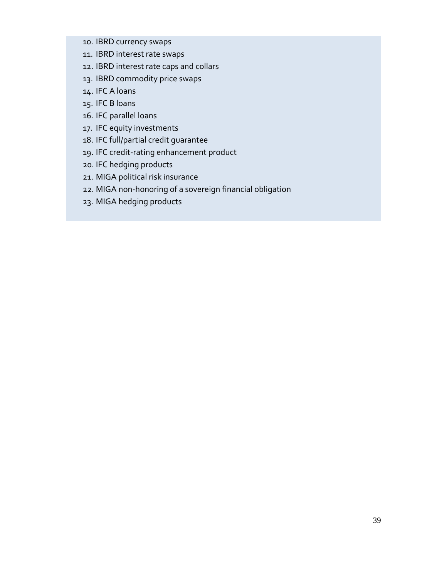- 10. IBRD currency swaps
- 11. IBRD interest rate swaps
- 12. IBRD interest rate caps and collars
- 13. IBRD commodity price swaps
- 14. IFC A loans
- 15. IFC B loans
- 16. IFC parallel loans
- 17. IFC equity investments
- 18. IFC full/partial credit guarantee
- 19. IFC credit-rating enhancement product
- 20. IFC hedging products
- 21. MIGA political risk insurance
- 22. MIGA non-honoring of a sovereign financial obligation
- 23. MIGA hedging products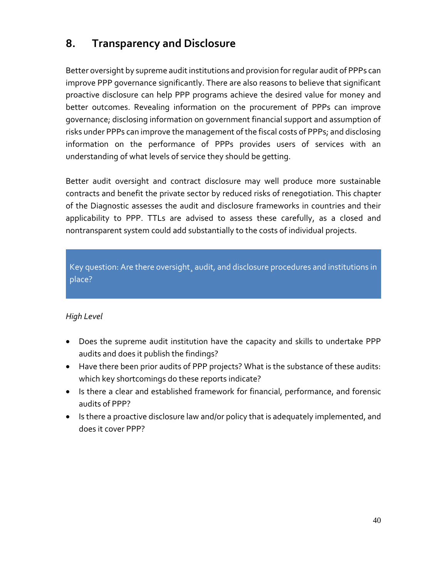# <span id="page-42-0"></span>**8. Transparency and Disclosure**

Better oversight by supreme audit institutions and provision for regular audit of PPPs can improve PPP governance significantly. There are also reasons to believe that significant proactive disclosure can help PPP programs achieve the desired value for money and better outcomes. Revealing information on the procurement of PPPs can improve governance; disclosing information on government financial support and assumption of risks under PPPs can improve the management of the fiscal costs of PPPs; and disclosing information on the performance of PPPs provides users of services with an understanding of what levels of service they should be getting.

Better audit oversight and contract disclosure may well produce more sustainable contracts and benefit the private sector by reduced risks of renegotiation. This chapter of the Diagnostic assesses the audit and disclosure frameworks in countries and their applicability to PPP. TTLs are advised to assess these carefully, as a closed and nontransparent system could add substantially to the costs of individual projects.

Key question: Are there oversight¸ audit, and disclosure procedures and institutions in place?

- Does the supreme audit institution have the capacity and skills to undertake PPP audits and does it publish the findings?
- Have there been prior audits of PPP projects? What is the substance of these audits: which key shortcomings do these reports indicate?
- Is there a clear and established framework for financial, performance, and forensic audits of PPP?
- Is there a proactive disclosure law and/or policy that is adequately implemented, and does it cover PPP?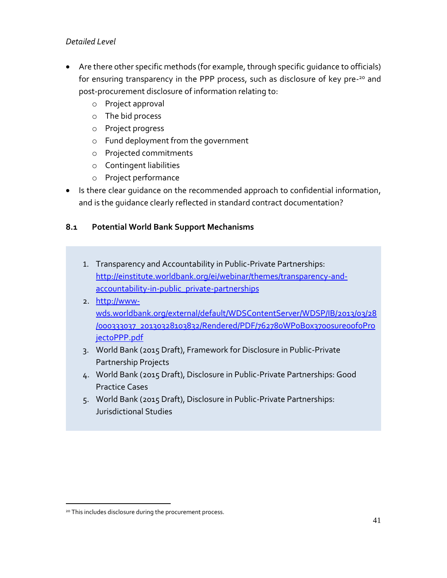- Are there other specific methods (for example, through specific guidance to officials) for ensuring transparency in the PPP process, such as disclosure of key pre-<sup>20</sup> and post-procurement disclosure of information relating to:
	- o Project approval
	- o The bid process
	- o Project progress
	- o Fund deployment from the government
	- o Projected commitments
	- o Contingent liabilities
	- o Project performance
- Is there clear quidance on the recommended approach to confidential information, and is the guidance clearly reflected in standard contract documentation?

# <span id="page-43-0"></span>**8.1 Potential World Bank Support Mechanisms**

- 1. Transparency and Accountability in Public-Private Partnerships: [http://einstitute.worldbank.org/ei/webinar/themes/transparency-and](http://einstitute.worldbank.org/ei/webinar/themes/transparency-and-accountability-in-public_private-partnerships)[accountability-in-public\\_private-partnerships](http://einstitute.worldbank.org/ei/webinar/themes/transparency-and-accountability-in-public_private-partnerships)
- 2. [http://www](http://www-wds.worldbank.org/external/default/WDSContentServer/WDSP/IB/2013/03/28/000333037_20130328103832/Rendered/PDF/762780WP0Box370osure0of0Project0PPP.pdf)[wds.worldbank.org/external/default/WDSContentServer/WDSP/IB/2013/03/28](http://www-wds.worldbank.org/external/default/WDSContentServer/WDSP/IB/2013/03/28/000333037_20130328103832/Rendered/PDF/762780WP0Box370osure0of0Project0PPP.pdf) [/000333037\\_20130328103832/Rendered/PDF/762780WP0Box370osure0of0Pro](http://www-wds.worldbank.org/external/default/WDSContentServer/WDSP/IB/2013/03/28/000333037_20130328103832/Rendered/PDF/762780WP0Box370osure0of0Project0PPP.pdf) [ject0PPP.pdf](http://www-wds.worldbank.org/external/default/WDSContentServer/WDSP/IB/2013/03/28/000333037_20130328103832/Rendered/PDF/762780WP0Box370osure0of0Project0PPP.pdf)
- 3. World Bank (2015 Draft), Framework for Disclosure in Public-Private Partnership Projects
- 4. World Bank (2015 Draft), Disclosure in Public-Private Partnerships: Good Practice Cases
- 5. World Bank (2015 Draft), Disclosure in Public-Private Partnerships: Jurisdictional Studies

 $\overline{a}$ 

<sup>20</sup> This includes disclosure during the procurement process.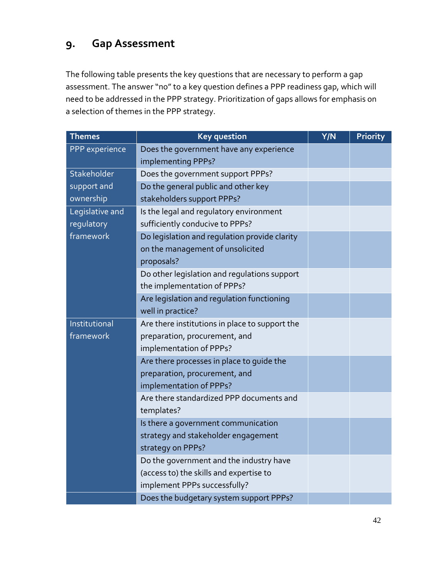# <span id="page-44-0"></span>**9. Gap Assessment**

The following table presents the key questions that are necessary to perform a gap assessment. The answer "no" to a key question defines a PPP readiness gap, which will need to be addressed in the PPP strategy. Prioritization of gaps allows for emphasis on a selection of themes in the PPP strategy.

| <b>Themes</b>   | <b>Key question</b>                            | Y/N | <b>Priority</b> |
|-----------------|------------------------------------------------|-----|-----------------|
| PPP experience  | Does the government have any experience        |     |                 |
|                 | implementing PPPs?                             |     |                 |
| Stakeholder     | Does the government support PPPs?              |     |                 |
| support and     | Do the general public and other key            |     |                 |
| ownership       | stakeholders support PPPs?                     |     |                 |
| Legislative and | Is the legal and regulatory environment        |     |                 |
| regulatory      | sufficiently conducive to PPPs?                |     |                 |
| framework       | Do legislation and regulation provide clarity  |     |                 |
|                 | on the management of unsolicited               |     |                 |
|                 | proposals?                                     |     |                 |
|                 | Do other legislation and regulations support   |     |                 |
|                 | the implementation of PPPs?                    |     |                 |
|                 | Are legislation and regulation functioning     |     |                 |
|                 | well in practice?                              |     |                 |
| Institutional   | Are there institutions in place to support the |     |                 |
| framework       | preparation, procurement, and                  |     |                 |
|                 | implementation of PPPs?                        |     |                 |
|                 | Are there processes in place to guide the      |     |                 |
|                 | preparation, procurement, and                  |     |                 |
|                 | implementation of PPPs?                        |     |                 |
|                 | Are there standardized PPP documents and       |     |                 |
|                 | templates?                                     |     |                 |
|                 | Is there a government communication            |     |                 |
|                 | strategy and stakeholder engagement            |     |                 |
|                 | strategy on PPPs?                              |     |                 |
|                 | Do the government and the industry have        |     |                 |
|                 | (access to) the skills and expertise to        |     |                 |
|                 | implement PPPs successfully?                   |     |                 |
|                 | Does the budgetary system support PPPs?        |     |                 |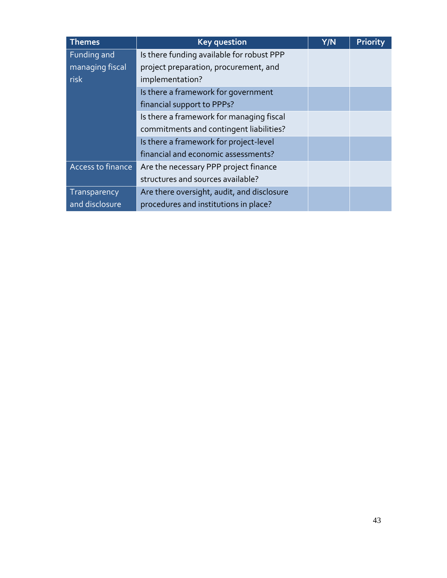| <b>Themes</b>     | <b>Key question</b>                        | Y/N | <b>Priority</b> |
|-------------------|--------------------------------------------|-----|-----------------|
| Funding and       | Is there funding available for robust PPP  |     |                 |
| managing fiscal   | project preparation, procurement, and      |     |                 |
| risk              | implementation?                            |     |                 |
|                   | Is there a framework for government        |     |                 |
|                   | financial support to PPPs?                 |     |                 |
|                   | Is there a framework for managing fiscal   |     |                 |
|                   | commitments and contingent liabilities?    |     |                 |
|                   | Is there a framework for project-level     |     |                 |
|                   | financial and economic assessments?        |     |                 |
| Access to finance | Are the necessary PPP project finance      |     |                 |
|                   | structures and sources available?          |     |                 |
| Transparency      | Are there oversight, audit, and disclosure |     |                 |
| and disclosure    | procedures and institutions in place?      |     |                 |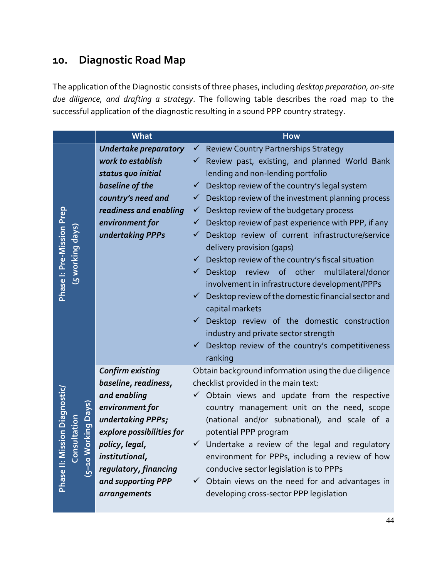# <span id="page-46-0"></span>**10. Diagnostic Road Map**

The application of the Diagnostic consists of three phases, including *desktop preparation, 0n-site due diligence, and drafting a strategy*. The following table describes the road map to the successful application of the diagnostic resulting in a sound PPP country strategy.

|                                                                            | What                         | <b>How</b>                                                          |
|----------------------------------------------------------------------------|------------------------------|---------------------------------------------------------------------|
|                                                                            | <b>Undertake preparatory</b> | <b>Review Country Partnerships Strategy</b><br>$\checkmark$         |
|                                                                            | work to establish            | Review past, existing, and planned World Bank                       |
|                                                                            | status quo initial           | lending and non-lending portfolio                                   |
|                                                                            | baseline of the              | Desktop review of the country's legal system<br>$\checkmark$        |
|                                                                            | country's need and           | $\checkmark$ Desktop review of the investment planning process      |
|                                                                            | readiness and enabling       | Desktop review of the budgetary process<br>$\checkmark$             |
|                                                                            | environment for              | Desktop review of past experience with PPP, if any<br>✓             |
| Phase I: Pre-Mission Prep<br>(5 working days                               | undertaking PPPs             | Desktop review of current infrastructure/service<br>✓               |
|                                                                            |                              | delivery provision (gaps)                                           |
|                                                                            |                              | Desktop review of the country's fiscal situation<br>$\checkmark$    |
|                                                                            |                              | Desktop<br>review of other multilateral/donor<br>✓                  |
|                                                                            |                              | involvement in infrastructure development/PPPs                      |
|                                                                            |                              | Desktop review of the domestic financial sector and<br>$\checkmark$ |
|                                                                            |                              | capital markets                                                     |
|                                                                            |                              | Desktop review of the domestic construction<br>$\checkmark$         |
|                                                                            |                              | industry and private sector strength                                |
|                                                                            |                              | Desktop review of the country's competitiveness<br>$\checkmark$     |
|                                                                            |                              | ranking                                                             |
|                                                                            | <b>Confirm existing</b>      | Obtain background information using the due diligence               |
|                                                                            | baseline, readiness,         | checklist provided in the main text:                                |
|                                                                            | and enabling                 | $\checkmark$ Obtain views and update from the respective            |
|                                                                            | environment for              | country management unit on the need, scope                          |
|                                                                            | undertaking PPPs;            | (national and/or subnational), and scale of a                       |
|                                                                            | explore possibilities for    | potential PPP program                                               |
| <b>Phase II: Mission Diagnostic,</b><br>5–10 Working Days)<br>Consultation | policy, legal,               | $\checkmark$ Undertake a review of the legal and regulatory         |
|                                                                            | institutional,               | environment for PPPs, including a review of how                     |
|                                                                            | regulatory, financing        | conducive sector legislation is to PPPs                             |
|                                                                            | and supporting PPP           | $\checkmark$ Obtain views on the need for and advantages in         |
|                                                                            | arrangements                 | developing cross-sector PPP legislation                             |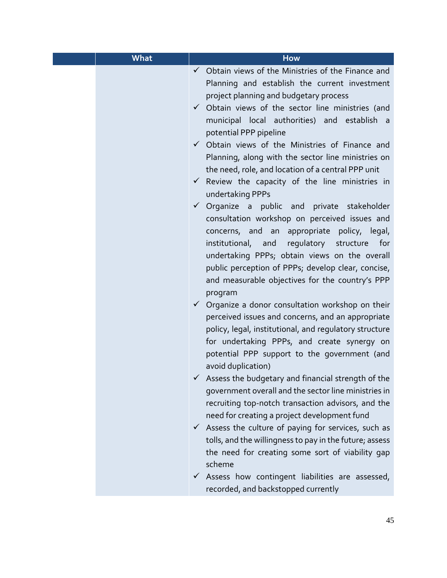| <b>What</b> | <b>How</b>                                                                                                                                                                                                                                                                                                                                                                                                                                                                                                                                                                                                                                                                                                                                                                                                                                                                                                                                                                                                                                                                                                                                                                                                                                                                                                                                                                                                                                                                                                                                                                                                                                                                                                                                                                               |
|-------------|------------------------------------------------------------------------------------------------------------------------------------------------------------------------------------------------------------------------------------------------------------------------------------------------------------------------------------------------------------------------------------------------------------------------------------------------------------------------------------------------------------------------------------------------------------------------------------------------------------------------------------------------------------------------------------------------------------------------------------------------------------------------------------------------------------------------------------------------------------------------------------------------------------------------------------------------------------------------------------------------------------------------------------------------------------------------------------------------------------------------------------------------------------------------------------------------------------------------------------------------------------------------------------------------------------------------------------------------------------------------------------------------------------------------------------------------------------------------------------------------------------------------------------------------------------------------------------------------------------------------------------------------------------------------------------------------------------------------------------------------------------------------------------------|
|             | $\checkmark$ Obtain views of the Ministries of the Finance and<br>Planning and establish the current investment<br>project planning and budgetary process<br>$\checkmark$ Obtain views of the sector line ministries (and<br>municipal local authorities) and establish a<br>potential PPP pipeline<br>$\checkmark$ Obtain views of the Ministries of Finance and<br>Planning, along with the sector line ministries on<br>the need, role, and location of a central PPP unit<br>$\checkmark$ Review the capacity of the line ministries in<br>undertaking PPPs<br>$\checkmark$ Organize a public and private stakeholder<br>consultation workshop on perceived issues and<br>concerns, and an appropriate policy, legal,<br>institutional, and regulatory structure<br>for<br>undertaking PPPs; obtain views on the overall<br>public perception of PPPs; develop clear, concise,<br>and measurable objectives for the country's PPP<br>program<br>$\checkmark$ Organize a donor consultation workshop on their<br>perceived issues and concerns, and an appropriate<br>policy, legal, institutional, and regulatory structure<br>for undertaking PPPs, and create synergy on<br>potential PPP support to the government (and<br>avoid duplication)<br>$\checkmark$ Assess the budgetary and financial strength of the<br>government overall and the sector line ministries in<br>recruiting top-notch transaction advisors, and the<br>need for creating a project development fund<br>$\checkmark$ Assess the culture of paying for services, such as<br>tolls, and the willingness to pay in the future; assess<br>the need for creating some sort of viability gap<br>scheme<br>$\checkmark$ Assess how contingent liabilities are assessed,<br>recorded, and backstopped currently |
|             |                                                                                                                                                                                                                                                                                                                                                                                                                                                                                                                                                                                                                                                                                                                                                                                                                                                                                                                                                                                                                                                                                                                                                                                                                                                                                                                                                                                                                                                                                                                                                                                                                                                                                                                                                                                          |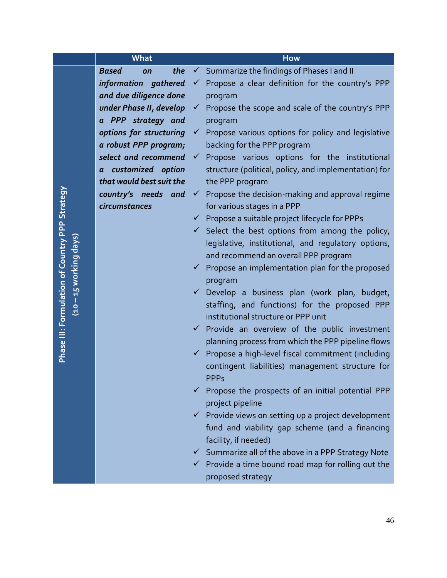|                                                                          | What                      | <b>How</b>                                                                           |
|--------------------------------------------------------------------------|---------------------------|--------------------------------------------------------------------------------------|
|                                                                          | <b>Based</b><br>the<br>on | Summarize the findings of Phases I and II                                            |
|                                                                          | information gathered      | Propose a clear definition for the country's PPP<br>$\checkmark$                     |
|                                                                          | and due diligence done    | program                                                                              |
|                                                                          | under Phase II, develop   | Propose the scope and scale of the country's PPP<br>$\checkmark$                     |
|                                                                          | a PPP strategy and        | program                                                                              |
|                                                                          | options for structuring   | Propose various options for policy and legislative<br>$\checkmark$                   |
|                                                                          | a robust PPP program;     | backing for the PPP program                                                          |
|                                                                          | select and recommend      | Propose various options for the institutional<br>$\checkmark$                        |
|                                                                          | a customized option       | structure (political, policy, and implementation) for                                |
|                                                                          | that would best suit the  | the PPP program                                                                      |
|                                                                          | country's needs and       | Propose the decision-making and approval regime<br>$\checkmark$                      |
|                                                                          | circumstances             | for various stages in a PPP                                                          |
|                                                                          |                           | $\checkmark$ Propose a suitable project lifecycle for PPPs                           |
|                                                                          |                           | $\checkmark$ Select the best options from among the policy,                          |
| Phase III: Formulation of Country PPP Strategy<br>(10 – 15 working days) |                           | legislative, institutional, and regulatory options,                                  |
|                                                                          |                           | and recommend an overall PPP program                                                 |
|                                                                          |                           | Propose an implementation plan for the proposed<br>✔                                 |
|                                                                          |                           | program                                                                              |
|                                                                          |                           | Develop a business plan (work plan, budget,<br>$\checkmark$                          |
|                                                                          |                           | staffing, and functions) for the proposed PPP<br>institutional structure or PPP unit |
|                                                                          |                           | Provide an overview of the public investment<br>$\checkmark$                         |
|                                                                          |                           | planning process from which the PPP pipeline flows                                   |
|                                                                          |                           | Propose a high-level fiscal commitment (including<br>$\checkmark$                    |
|                                                                          |                           | contingent liabilities) management structure for                                     |
|                                                                          |                           | <b>PPP<sub>S</sub></b>                                                               |
|                                                                          |                           | Propose the prospects of an initial potential PPP<br>✓                               |
|                                                                          |                           | project pipeline                                                                     |
|                                                                          |                           | ← Provide views on setting up a project development                                  |
|                                                                          |                           | fund and viability gap scheme (and a financing                                       |
|                                                                          |                           | facility, if needed)                                                                 |
|                                                                          |                           | $\checkmark$ Summarize all of the above in a PPP Strategy Note                       |
|                                                                          |                           | $\checkmark$ Provide a time bound road map for rolling out the                       |
|                                                                          |                           | proposed strategy                                                                    |

46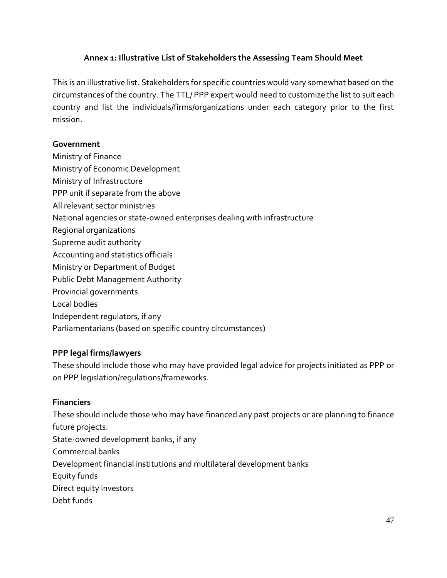#### **Annex 1: Illustrative List of Stakeholders the Assessing Team Should Meet**

This is an illustrative list. Stakeholders for specific countries would vary somewhat based on the circumstances of the country. The TTL/ PPP expert would need to customize the list to suit each country and list the individuals/firms/organizations under each category prior to the first mission.

#### **Government**

- Ministry of Finance
- Ministry of Economic Development
- Ministry of Infrastructure
- PPP unit if separate from the above
- All relevant sector ministries
- National agencies or state-owned enterprises dealing with infrastructure
- Regional organizations
- Supreme audit authority
- Accounting and statistics officials
- Ministry or Department of Budget
- Public Debt Management Authority
- Provincial governments
- Local bodies
- Independent regulators, if any
- Parliamentarians (based on specific country circumstances)

### **PPP legal firms/lawyers**

These should include those who may have provided legal advice for projects initiated as PPP or on PPP legislation/regulations/frameworks.

#### **Financiers**

These should include those who may have financed any past projects or are planning to finance future projects. State-owned development banks, if any Commercial banks Development financial institutions and multilateral development banks Equity funds Direct equity investors Debt funds